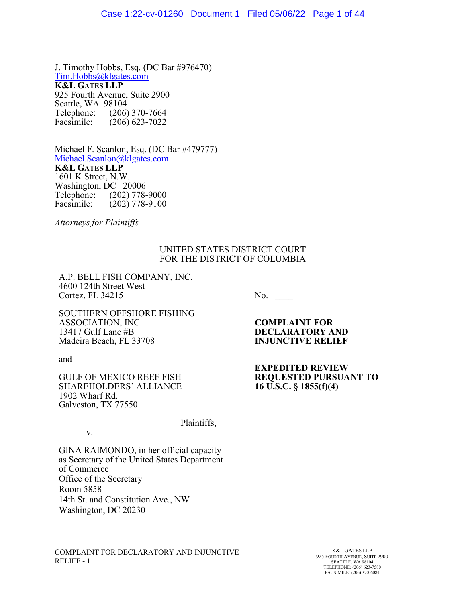J. Timothy Hobbs, Esq. (DC Bar #976470) Tim.Hobbs@klgates.com **K&L GATES LLP** 925 Fourth Avenue, Suite 2900 Seattle, WA 98104<br>Telephone: (206) Telephone: (206) 370-7664<br>Facsimile: (206) 623-7022  $(206)$  623-7022

Michael F. Scanlon, Esq. (DC Bar #479777) Michael.Scanlon@klgates.com **K&L GATES LLP** 1601 K Street, N.W. Washington, DC 20006 Telephone: (202) 778-9000 Facsimile: (202) 778-9100

*Attorneys for Plaintiffs*

### UNITED STATES DISTRICT COURT FOR THE DISTRICT OF COLUMBIA

A.P. BELL FISH COMPANY, INC. 4600 124th Street West Cortez, FL 34215

No.

SOUTHERN OFFSHORE FISHING ASSOCIATION, INC. 13417 Gulf Lane #B Madeira Beach, FL 33708

and

v.

GULF OF MEXICO REEF FISH SHAREHOLDERS' ALLIANCE 1902 Wharf Rd. Galveston, TX 77550

Plaintiffs,

GINA RAIMONDO, in her official capacity as Secretary of the United States Department of Commerce Office of the Secretary Room 5858 14th St. and Constitution Ave., NW Washington, DC 20230

**COMPLAINT FOR DECLARATORY AND INJUNCTIVE RELIEF** 

**EXPEDITED REVIEW REQUESTED PURSUANT TO 16 U.S.C. § 1855(f)(4)**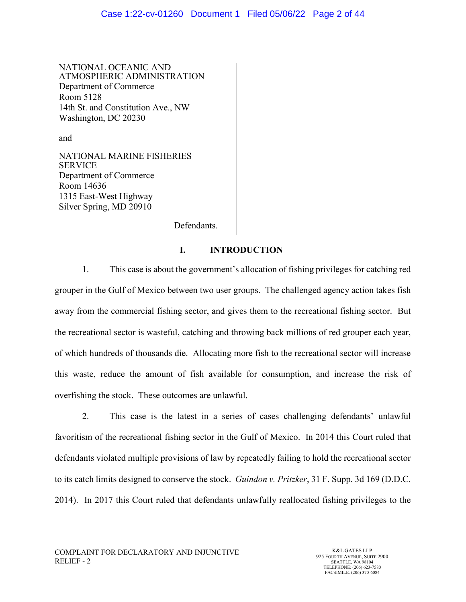NATIONAL OCEANIC AND ATMOSPHERIC ADMINISTRATION Department of Commerce Room 5128 14th St. and Constitution Ave., NW Washington, DC 20230

and

NATIONAL MARINE FISHERIES SERVICE Department of Commerce Room 14636 1315 East-West Highway Silver Spring, MD 20910

Defendants.

# **I. INTRODUCTION**

1. This case is about the government's allocation of fishing privileges for catching red grouper in the Gulf of Mexico between two user groups. The challenged agency action takes fish away from the commercial fishing sector, and gives them to the recreational fishing sector. But the recreational sector is wasteful, catching and throwing back millions of red grouper each year, of which hundreds of thousands die. Allocating more fish to the recreational sector will increase this waste, reduce the amount of fish available for consumption, and increase the risk of overfishing the stock. These outcomes are unlawful.

2. This case is the latest in a series of cases challenging defendants' unlawful favoritism of the recreational fishing sector in the Gulf of Mexico. In 2014 this Court ruled that defendants violated multiple provisions of law by repeatedly failing to hold the recreational sector to its catch limits designed to conserve the stock. *Guindon v. Pritzker*, 31 F. Supp. 3d 169 (D.D.C. 2014). In 2017 this Court ruled that defendants unlawfully reallocated fishing privileges to the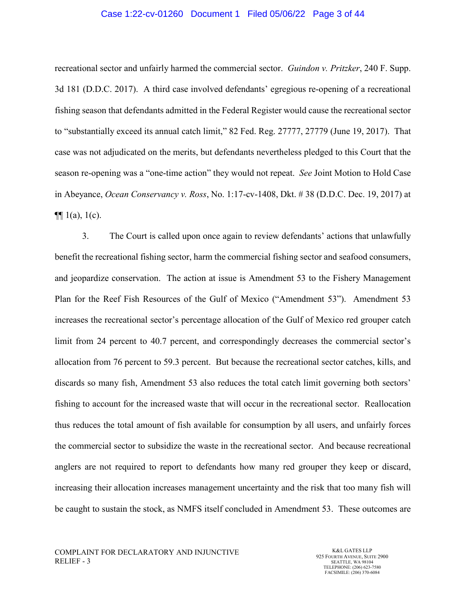#### Case 1:22-cv-01260 Document 1 Filed 05/06/22 Page 3 of 44

recreational sector and unfairly harmed the commercial sector. *Guindon v. Pritzker*, 240 F. Supp. 3d 181 (D.D.C. 2017). A third case involved defendants' egregious re-opening of a recreational fishing season that defendants admitted in the Federal Register would cause the recreational sector to "substantially exceed its annual catch limit," 82 Fed. Reg. 27777, 27779 (June 19, 2017). That case was not adjudicated on the merits, but defendants nevertheless pledged to this Court that the season re-opening was a "one-time action" they would not repeat. *See* Joint Motion to Hold Case in Abeyance, *Ocean Conservancy v. Ross*, No. 1:17-cv-1408, Dkt. # 38 (D.D.C. Dec. 19, 2017) at  $\P\P$  1(a), 1(c).

3. The Court is called upon once again to review defendants' actions that unlawfully benefit the recreational fishing sector, harm the commercial fishing sector and seafood consumers, and jeopardize conservation. The action at issue is Amendment 53 to the Fishery Management Plan for the Reef Fish Resources of the Gulf of Mexico ("Amendment 53"). Amendment 53 increases the recreational sector's percentage allocation of the Gulf of Mexico red grouper catch limit from 24 percent to 40.7 percent, and correspondingly decreases the commercial sector's allocation from 76 percent to 59.3 percent. But because the recreational sector catches, kills, and discards so many fish, Amendment 53 also reduces the total catch limit governing both sectors' fishing to account for the increased waste that will occur in the recreational sector. Reallocation thus reduces the total amount of fish available for consumption by all users, and unfairly forces the commercial sector to subsidize the waste in the recreational sector. And because recreational anglers are not required to report to defendants how many red grouper they keep or discard, increasing their allocation increases management uncertainty and the risk that too many fish will be caught to sustain the stock, as NMFS itself concluded in Amendment 53. These outcomes are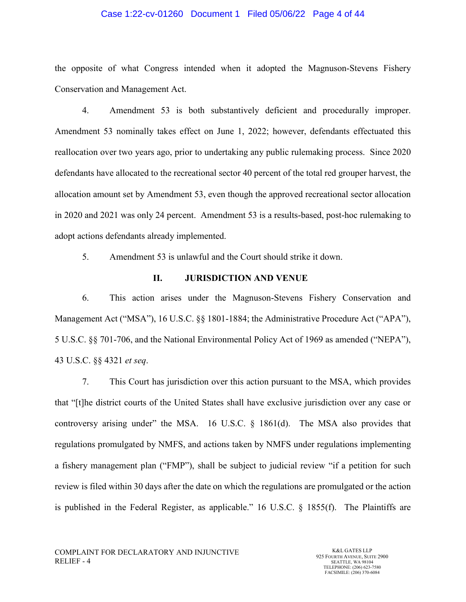#### Case 1:22-cv-01260 Document 1 Filed 05/06/22 Page 4 of 44

the opposite of what Congress intended when it adopted the Magnuson-Stevens Fishery Conservation and Management Act.

4. Amendment 53 is both substantively deficient and procedurally improper. Amendment 53 nominally takes effect on June 1, 2022; however, defendants effectuated this reallocation over two years ago, prior to undertaking any public rulemaking process. Since 2020 defendants have allocated to the recreational sector 40 percent of the total red grouper harvest, the allocation amount set by Amendment 53, even though the approved recreational sector allocation in 2020 and 2021 was only 24 percent. Amendment 53 is a results-based, post-hoc rulemaking to adopt actions defendants already implemented.

5. Amendment 53 is unlawful and the Court should strike it down.

#### **II. JURISDICTION AND VENUE**

6. This action arises under the Magnuson-Stevens Fishery Conservation and Management Act ("MSA"), 16 U.S.C. §§ 1801-1884; the Administrative Procedure Act ("APA"), 5 U.S.C. §§ 701-706, and the National Environmental Policy Act of 1969 as amended ("NEPA"), 43 U.S.C. §§ 4321 *et seq*.

7. This Court has jurisdiction over this action pursuant to the MSA, which provides that "[t]he district courts of the United States shall have exclusive jurisdiction over any case or controversy arising under" the MSA. 16 U.S.C. § 1861(d). The MSA also provides that regulations promulgated by NMFS, and actions taken by NMFS under regulations implementing a fishery management plan ("FMP"), shall be subject to judicial review "if a petition for such review is filed within 30 days after the date on which the regulations are promulgated or the action is published in the Federal Register, as applicable." 16 U.S.C. § 1855(f). The Plaintiffs are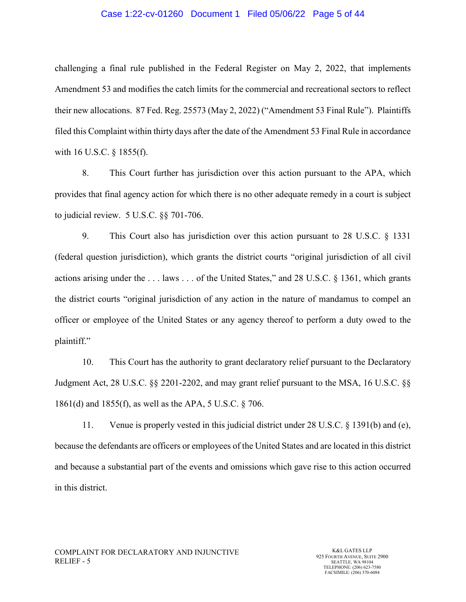#### Case 1:22-cv-01260 Document 1 Filed 05/06/22 Page 5 of 44

challenging a final rule published in the Federal Register on May 2, 2022, that implements Amendment 53 and modifies the catch limits for the commercial and recreational sectors to reflect their new allocations. 87 Fed. Reg. 25573 (May 2, 2022) ("Amendment 53 Final Rule"). Plaintiffs filed this Complaint within thirty days after the date of the Amendment 53 Final Rule in accordance with 16 U.S.C. § 1855(f).

8. This Court further has jurisdiction over this action pursuant to the APA, which provides that final agency action for which there is no other adequate remedy in a court is subject to judicial review. 5 U.S.C. §§ 701-706.

9. This Court also has jurisdiction over this action pursuant to 28 U.S.C. § 1331 (federal question jurisdiction), which grants the district courts "original jurisdiction of all civil actions arising under the . . . laws . . . of the United States," and 28 U.S.C. § 1361, which grants the district courts "original jurisdiction of any action in the nature of mandamus to compel an officer or employee of the United States or any agency thereof to perform a duty owed to the plaintiff."

10. This Court has the authority to grant declaratory relief pursuant to the Declaratory Judgment Act, 28 U.S.C. §§ 2201-2202, and may grant relief pursuant to the MSA, 16 U.S.C. §§ 1861(d) and 1855(f), as well as the APA, 5 U.S.C. § 706.

11. Venue is properly vested in this judicial district under 28 U.S.C. § 1391(b) and (e), because the defendants are officers or employees of the United States and are located in this district and because a substantial part of the events and omissions which gave rise to this action occurred in this district.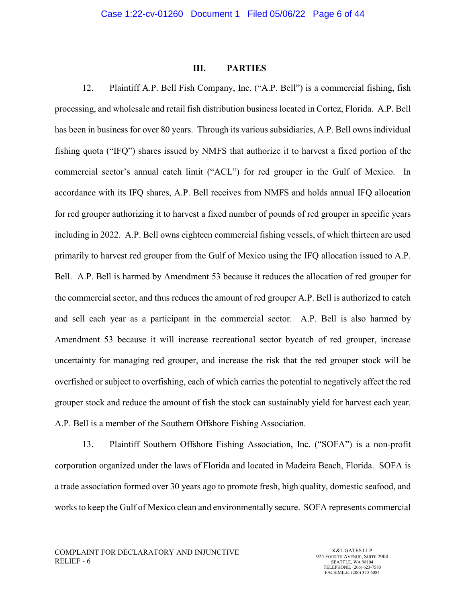### **III. PARTIES**

12. Plaintiff A.P. Bell Fish Company, Inc. ("A.P. Bell") is a commercial fishing, fish processing, and wholesale and retail fish distribution business located in Cortez, Florida. A.P. Bell has been in business for over 80 years. Through its various subsidiaries, A.P. Bell owns individual fishing quota ("IFQ") shares issued by NMFS that authorize it to harvest a fixed portion of the commercial sector's annual catch limit ("ACL") for red grouper in the Gulf of Mexico. In accordance with its IFQ shares, A.P. Bell receives from NMFS and holds annual IFQ allocation for red grouper authorizing it to harvest a fixed number of pounds of red grouper in specific years including in 2022. A.P. Bell owns eighteen commercial fishing vessels, of which thirteen are used primarily to harvest red grouper from the Gulf of Mexico using the IFQ allocation issued to A.P. Bell. A.P. Bell is harmed by Amendment 53 because it reduces the allocation of red grouper for the commercial sector, and thus reduces the amount of red grouper A.P. Bell is authorized to catch and sell each year as a participant in the commercial sector. A.P. Bell is also harmed by Amendment 53 because it will increase recreational sector bycatch of red grouper, increase uncertainty for managing red grouper, and increase the risk that the red grouper stock will be overfished or subject to overfishing, each of which carries the potential to negatively affect the red grouper stock and reduce the amount of fish the stock can sustainably yield for harvest each year. A.P. Bell is a member of the Southern Offshore Fishing Association.

13. Plaintiff Southern Offshore Fishing Association, Inc. ("SOFA") is a non-profit corporation organized under the laws of Florida and located in Madeira Beach, Florida. SOFA is a trade association formed over 30 years ago to promote fresh, high quality, domestic seafood, and works to keep the Gulf of Mexico clean and environmentally secure. SOFA represents commercial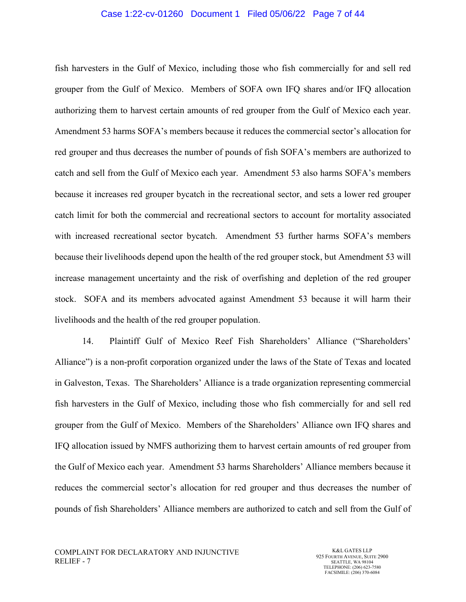#### Case 1:22-cv-01260 Document 1 Filed 05/06/22 Page 7 of 44

fish harvesters in the Gulf of Mexico, including those who fish commercially for and sell red grouper from the Gulf of Mexico. Members of SOFA own IFQ shares and/or IFQ allocation authorizing them to harvest certain amounts of red grouper from the Gulf of Mexico each year. Amendment 53 harms SOFA's members because it reduces the commercial sector's allocation for red grouper and thus decreases the number of pounds of fish SOFA's members are authorized to catch and sell from the Gulf of Mexico each year. Amendment 53 also harms SOFA's members because it increases red grouper bycatch in the recreational sector, and sets a lower red grouper catch limit for both the commercial and recreational sectors to account for mortality associated with increased recreational sector bycatch. Amendment 53 further harms SOFA's members because their livelihoods depend upon the health of the red grouper stock, but Amendment 53 will increase management uncertainty and the risk of overfishing and depletion of the red grouper stock. SOFA and its members advocated against Amendment 53 because it will harm their livelihoods and the health of the red grouper population.

14. Plaintiff Gulf of Mexico Reef Fish Shareholders' Alliance ("Shareholders' Alliance") is a non-profit corporation organized under the laws of the State of Texas and located in Galveston, Texas. The Shareholders' Alliance is a trade organization representing commercial fish harvesters in the Gulf of Mexico, including those who fish commercially for and sell red grouper from the Gulf of Mexico. Members of the Shareholders' Alliance own IFQ shares and IFQ allocation issued by NMFS authorizing them to harvest certain amounts of red grouper from the Gulf of Mexico each year. Amendment 53 harms Shareholders' Alliance members because it reduces the commercial sector's allocation for red grouper and thus decreases the number of pounds of fish Shareholders' Alliance members are authorized to catch and sell from the Gulf of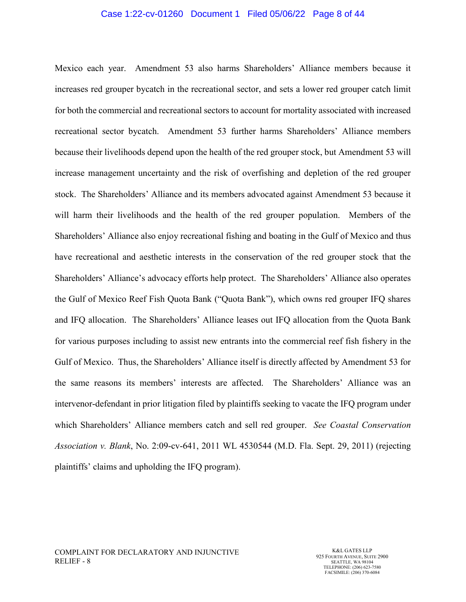#### Case 1:22-cv-01260 Document 1 Filed 05/06/22 Page 8 of 44

Mexico each year. Amendment 53 also harms Shareholders' Alliance members because it increases red grouper bycatch in the recreational sector, and sets a lower red grouper catch limit for both the commercial and recreational sectors to account for mortality associated with increased recreational sector bycatch. Amendment 53 further harms Shareholders' Alliance members because their livelihoods depend upon the health of the red grouper stock, but Amendment 53 will increase management uncertainty and the risk of overfishing and depletion of the red grouper stock. The Shareholders' Alliance and its members advocated against Amendment 53 because it will harm their livelihoods and the health of the red grouper population. Members of the Shareholders' Alliance also enjoy recreational fishing and boating in the Gulf of Mexico and thus have recreational and aesthetic interests in the conservation of the red grouper stock that the Shareholders' Alliance's advocacy efforts help protect. The Shareholders' Alliance also operates the Gulf of Mexico Reef Fish Quota Bank ("Quota Bank"), which owns red grouper IFQ shares and IFQ allocation. The Shareholders' Alliance leases out IFQ allocation from the Quota Bank for various purposes including to assist new entrants into the commercial reef fish fishery in the Gulf of Mexico. Thus, the Shareholders' Alliance itself is directly affected by Amendment 53 for the same reasons its members' interests are affected. The Shareholders' Alliance was an intervenor-defendant in prior litigation filed by plaintiffs seeking to vacate the IFQ program under which Shareholders' Alliance members catch and sell red grouper. *See Coastal Conservation Association v. Blank*, No. 2:09-cv-641, 2011 WL 4530544 (M.D. Fla. Sept. 29, 2011) (rejecting plaintiffs' claims and upholding the IFQ program).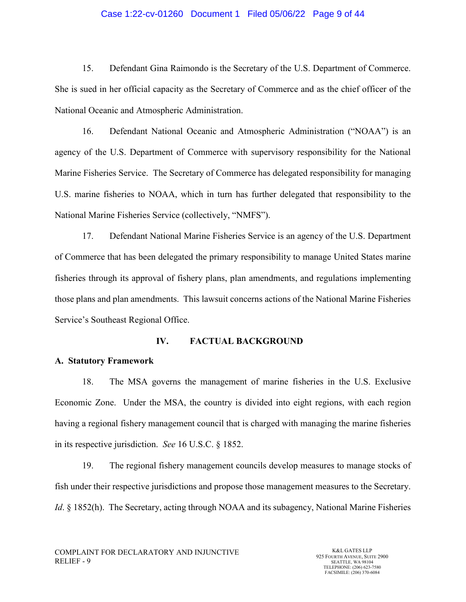### Case 1:22-cv-01260 Document 1 Filed 05/06/22 Page 9 of 44

15. Defendant Gina Raimondo is the Secretary of the U.S. Department of Commerce. She is sued in her official capacity as the Secretary of Commerce and as the chief officer of the National Oceanic and Atmospheric Administration.

16. Defendant National Oceanic and Atmospheric Administration ("NOAA") is an agency of the U.S. Department of Commerce with supervisory responsibility for the National Marine Fisheries Service. The Secretary of Commerce has delegated responsibility for managing U.S. marine fisheries to NOAA, which in turn has further delegated that responsibility to the National Marine Fisheries Service (collectively, "NMFS").

17. Defendant National Marine Fisheries Service is an agency of the U.S. Department of Commerce that has been delegated the primary responsibility to manage United States marine fisheries through its approval of fishery plans, plan amendments, and regulations implementing those plans and plan amendments. This lawsuit concerns actions of the National Marine Fisheries Service's Southeast Regional Office.

#### **IV. FACTUAL BACKGROUND**

## **A. Statutory Framework**

18. The MSA governs the management of marine fisheries in the U.S. Exclusive Economic Zone. Under the MSA, the country is divided into eight regions, with each region having a regional fishery management council that is charged with managing the marine fisheries in its respective jurisdiction. *See* 16 U.S.C. § 1852.

19. The regional fishery management councils develop measures to manage stocks of fish under their respective jurisdictions and propose those management measures to the Secretary. *Id.* § 1852(h). The Secretary, acting through NOAA and its subagency, National Marine Fisheries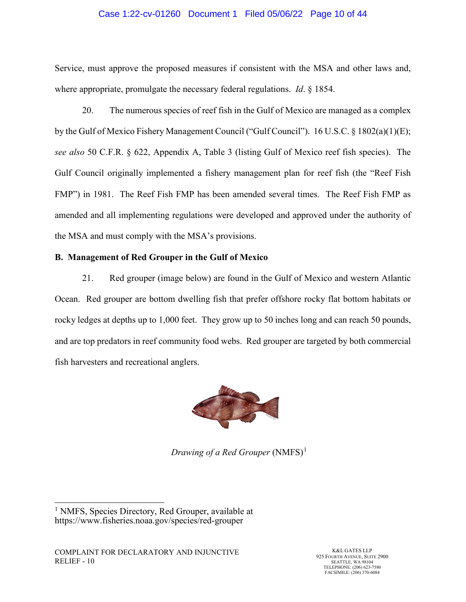### Case 1:22-cv-01260 Document 1 Filed 05/06/22 Page 10 of 44

Service, must approve the proposed measures if consistent with the MSA and other laws and, where appropriate, promulgate the necessary federal regulations. *Id*. § 1854.

20. The numerous species of reef fish in the Gulf of Mexico are managed as a complex by the Gulf of Mexico Fishery Management Council ("Gulf Council"). 16 U.S.C. § 1802(a)(1)(E); *see also* 50 C.F.R. § 622, Appendix A, Table 3 (listing Gulf of Mexico reef fish species). The Gulf Council originally implemented a fishery management plan for reef fish (the "Reef Fish FMP") in 1981. The Reef Fish FMP has been amended several times. The Reef Fish FMP as amended and all implementing regulations were developed and approved under the authority of the MSA and must comply with the MSA's provisions.

## **B. Management of Red Grouper in the Gulf of Mexico**

21. Red grouper (image below) are found in the Gulf of Mexico and western Atlantic Ocean. Red grouper are bottom dwelling fish that prefer offshore rocky flat bottom habitats or rocky ledges at depths up to 1,000 feet. They grow up to 50 inches long and can reach 50 pounds, and are top predators in reef community food webs. Red grouper are targeted by both commercial fish harvesters and recreational anglers.



*Drawing of a Red Grouper* (NMFS)<sup>[1](#page-9-0)</sup>

<span id="page-9-0"></span><sup>&</sup>lt;sup>1</sup> NMFS, Species Directory, Red Grouper, available at https://www.fisheries.noaa.gov/species/red-grouper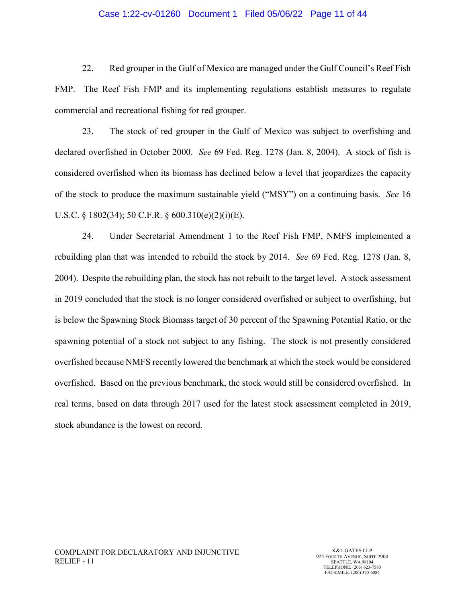#### Case 1:22-cv-01260 Document 1 Filed 05/06/22 Page 11 of 44

22. Red grouper in the Gulf of Mexico are managed under the Gulf Council's Reef Fish FMP. The Reef Fish FMP and its implementing regulations establish measures to regulate commercial and recreational fishing for red grouper.

23. The stock of red grouper in the Gulf of Mexico was subject to overfishing and declared overfished in October 2000. *See* 69 Fed. Reg. 1278 (Jan. 8, 2004). A stock of fish is considered overfished when its biomass has declined below a level that jeopardizes the capacity of the stock to produce the maximum sustainable yield ("MSY") on a continuing basis. *See* 16 U.S.C. § 1802(34); 50 C.F.R. § 600.310(e)(2)(i)(E).

24. Under Secretarial Amendment 1 to the Reef Fish FMP, NMFS implemented a rebuilding plan that was intended to rebuild the stock by 2014. *See* 69 Fed. Reg. 1278 (Jan. 8, 2004). Despite the rebuilding plan, the stock has not rebuilt to the target level. A stock assessment in 2019 concluded that the stock is no longer considered overfished or subject to overfishing, but is below the Spawning Stock Biomass target of 30 percent of the Spawning Potential Ratio, or the spawning potential of a stock not subject to any fishing. The stock is not presently considered overfished because NMFS recently lowered the benchmark at which the stock would be considered overfished. Based on the previous benchmark, the stock would still be considered overfished. In real terms, based on data through 2017 used for the latest stock assessment completed in 2019, stock abundance is the lowest on record.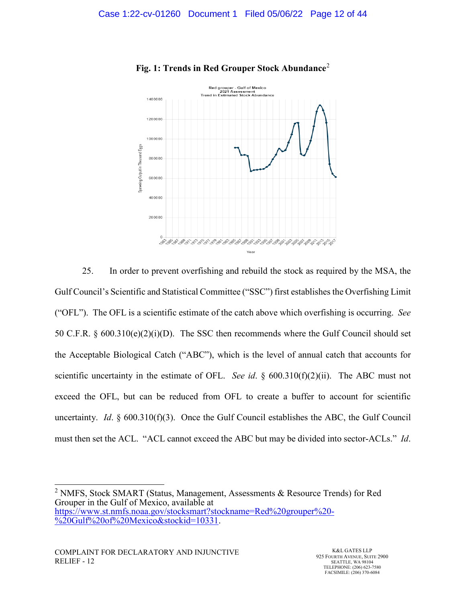

# **Fig. 1: Trends in Red Grouper Stock Abundance**[2](#page-11-0)

25. In order to prevent overfishing and rebuild the stock as required by the MSA, the Gulf Council's Scientific and Statistical Committee ("SSC") first establishes the Overfishing Limit ("OFL"). The OFL is a scientific estimate of the catch above which overfishing is occurring. *See* 50 C.F.R. § 600.310(e)(2)(i)(D). The SSC then recommends where the Gulf Council should set the Acceptable Biological Catch ("ABC"), which is the level of annual catch that accounts for scientific uncertainty in the estimate of OFL. *See id*. § 600.310(f)(2)(ii). The ABC must not exceed the OFL, but can be reduced from OFL to create a buffer to account for scientific uncertainty. *Id*. § 600.310(f)(3). Once the Gulf Council establishes the ABC, the Gulf Council must then set the ACL. "ACL cannot exceed the ABC but may be divided into sector-ACLs." *Id*.

<span id="page-11-0"></span><sup>&</sup>lt;sup>2</sup> NMFS, Stock SMART (Status, Management, Assessments & Resource Trends) for Red Grouper in the Gulf of Mexico, available at [https://www.st.nmfs.noaa.gov/stocksmart?stockname=Red%20grouper%20-](https://www.st.nmfs.noaa.gov/stocksmart?stockname=Red%20grouper%20-%20Gulf%20of%20Mexico&stockid=10331) [%20Gulf%20of%20Mexico&stockid=10331.](https://www.st.nmfs.noaa.gov/stocksmart?stockname=Red%20grouper%20-%20Gulf%20of%20Mexico&stockid=10331)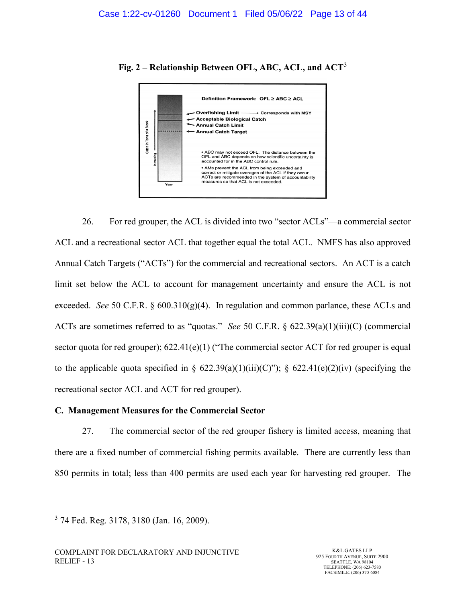

**Fig. 2 – Relationship Between OFL, ABC, ACL, and ACT**[3](#page-12-0)

26. For red grouper, the ACL is divided into two "sector ACLs"—a commercial sector ACL and a recreational sector ACL that together equal the total ACL. NMFS has also approved Annual Catch Targets ("ACTs") for the commercial and recreational sectors. An ACT is a catch limit set below the ACL to account for management uncertainty and ensure the ACL is not exceeded. *See* 50 C.F.R. § 600.310(g)(4). In regulation and common parlance, these ACLs and ACTs are sometimes referred to as "quotas." *See* 50 C.F.R. § 622.39(a)(1)(iii)(C) (commercial sector quota for red grouper);  $622.41(e)(1)$  ("The commercial sector ACT for red grouper is equal to the applicable quota specified in §  $622.39(a)(1)(iii)(C)$ "); §  $622.41(e)(2)(iv)$  (specifying the recreational sector ACL and ACT for red grouper).

## **C. Management Measures for the Commercial Sector**

27. The commercial sector of the red grouper fishery is limited access, meaning that there are a fixed number of commercial fishing permits available. There are currently less than 850 permits in total; less than 400 permits are used each year for harvesting red grouper. The

<span id="page-12-0"></span> <sup>3</sup> 74 Fed. Reg. 3178, 3180 (Jan. 16, 2009).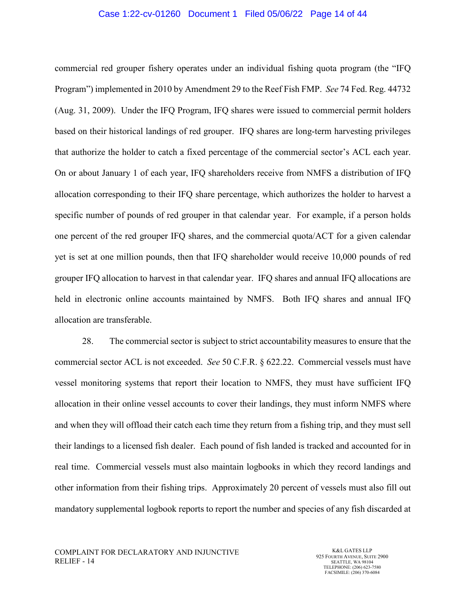#### Case 1:22-cv-01260 Document 1 Filed 05/06/22 Page 14 of 44

commercial red grouper fishery operates under an individual fishing quota program (the "IFQ Program") implemented in 2010 by Amendment 29 to the Reef Fish FMP. *See* 74 Fed. Reg. 44732 (Aug. 31, 2009). Under the IFQ Program, IFQ shares were issued to commercial permit holders based on their historical landings of red grouper. IFQ shares are long-term harvesting privileges that authorize the holder to catch a fixed percentage of the commercial sector's ACL each year. On or about January 1 of each year, IFQ shareholders receive from NMFS a distribution of IFQ allocation corresponding to their IFQ share percentage, which authorizes the holder to harvest a specific number of pounds of red grouper in that calendar year. For example, if a person holds one percent of the red grouper IFQ shares, and the commercial quota/ACT for a given calendar yet is set at one million pounds, then that IFQ shareholder would receive 10,000 pounds of red grouper IFQ allocation to harvest in that calendar year. IFQ shares and annual IFQ allocations are held in electronic online accounts maintained by NMFS. Both IFQ shares and annual IFQ allocation are transferable.

28. The commercial sector is subject to strict accountability measures to ensure that the commercial sector ACL is not exceeded. *See* 50 C.F.R. § 622.22. Commercial vessels must have vessel monitoring systems that report their location to NMFS, they must have sufficient IFQ allocation in their online vessel accounts to cover their landings, they must inform NMFS where and when they will offload their catch each time they return from a fishing trip, and they must sell their landings to a licensed fish dealer. Each pound of fish landed is tracked and accounted for in real time. Commercial vessels must also maintain logbooks in which they record landings and other information from their fishing trips. Approximately 20 percent of vessels must also fill out mandatory supplemental logbook reports to report the number and species of any fish discarded at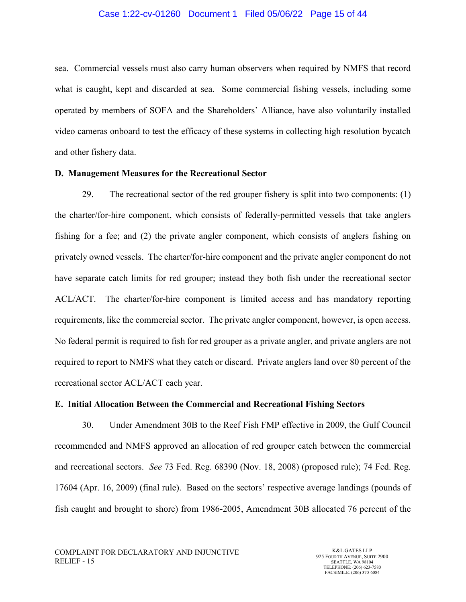sea. Commercial vessels must also carry human observers when required by NMFS that record what is caught, kept and discarded at sea. Some commercial fishing vessels, including some operated by members of SOFA and the Shareholders' Alliance, have also voluntarily installed video cameras onboard to test the efficacy of these systems in collecting high resolution bycatch and other fishery data.

### **D. Management Measures for the Recreational Sector**

29. The recreational sector of the red grouper fishery is split into two components: (1) the charter/for-hire component, which consists of federally-permitted vessels that take anglers fishing for a fee; and (2) the private angler component, which consists of anglers fishing on privately owned vessels. The charter/for-hire component and the private angler component do not have separate catch limits for red grouper; instead they both fish under the recreational sector ACL/ACT. The charter/for-hire component is limited access and has mandatory reporting requirements, like the commercial sector. The private angler component, however, is open access. No federal permit is required to fish for red grouper as a private angler, and private anglers are not required to report to NMFS what they catch or discard. Private anglers land over 80 percent of the recreational sector ACL/ACT each year.

## **E. Initial Allocation Between the Commercial and Recreational Fishing Sectors**

30. Under Amendment 30B to the Reef Fish FMP effective in 2009, the Gulf Council recommended and NMFS approved an allocation of red grouper catch between the commercial and recreational sectors. *See* 73 Fed. Reg. 68390 (Nov. 18, 2008) (proposed rule); 74 Fed. Reg. 17604 (Apr. 16, 2009) (final rule). Based on the sectors' respective average landings (pounds of fish caught and brought to shore) from 1986-2005, Amendment 30B allocated 76 percent of the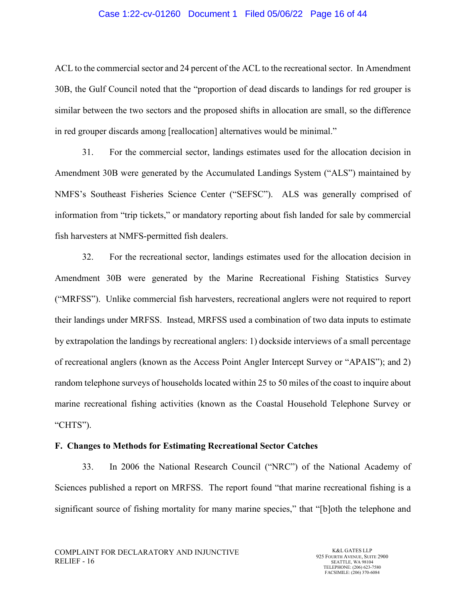#### Case 1:22-cv-01260 Document 1 Filed 05/06/22 Page 16 of 44

ACL to the commercial sector and 24 percent of the ACL to the recreational sector. In Amendment 30B, the Gulf Council noted that the "proportion of dead discards to landings for red grouper is similar between the two sectors and the proposed shifts in allocation are small, so the difference in red grouper discards among [reallocation] alternatives would be minimal."

31. For the commercial sector, landings estimates used for the allocation decision in Amendment 30B were generated by the Accumulated Landings System ("ALS") maintained by NMFS's Southeast Fisheries Science Center ("SEFSC"). ALS was generally comprised of information from "trip tickets," or mandatory reporting about fish landed for sale by commercial fish harvesters at NMFS-permitted fish dealers.

32. For the recreational sector, landings estimates used for the allocation decision in Amendment 30B were generated by the Marine Recreational Fishing Statistics Survey ("MRFSS"). Unlike commercial fish harvesters, recreational anglers were not required to report their landings under MRFSS. Instead, MRFSS used a combination of two data inputs to estimate by extrapolation the landings by recreational anglers: 1) dockside interviews of a small percentage of recreational anglers (known as the Access Point Angler Intercept Survey or "APAIS"); and 2) random telephone surveys of households located within 25 to 50 miles of the coast to inquire about marine recreational fishing activities (known as the Coastal Household Telephone Survey or "CHTS").

#### **F. Changes to Methods for Estimating Recreational Sector Catches**

33. In 2006 the National Research Council ("NRC") of the National Academy of Sciences published a report on MRFSS. The report found "that marine recreational fishing is a significant source of fishing mortality for many marine species," that "[b]oth the telephone and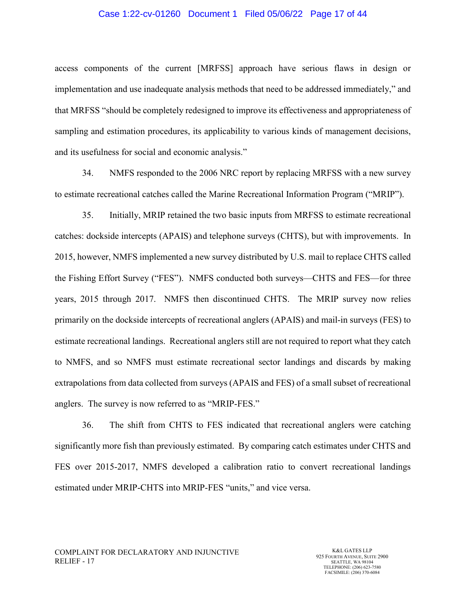#### Case 1:22-cv-01260 Document 1 Filed 05/06/22 Page 17 of 44

access components of the current [MRFSS] approach have serious flaws in design or implementation and use inadequate analysis methods that need to be addressed immediately," and that MRFSS "should be completely redesigned to improve its effectiveness and appropriateness of sampling and estimation procedures, its applicability to various kinds of management decisions, and its usefulness for social and economic analysis."

34. NMFS responded to the 2006 NRC report by replacing MRFSS with a new survey to estimate recreational catches called the Marine Recreational Information Program ("MRIP").

35. Initially, MRIP retained the two basic inputs from MRFSS to estimate recreational catches: dockside intercepts (APAIS) and telephone surveys (CHTS), but with improvements. In 2015, however, NMFS implemented a new survey distributed by U.S. mail to replace CHTS called the Fishing Effort Survey ("FES"). NMFS conducted both surveys—CHTS and FES—for three years, 2015 through 2017. NMFS then discontinued CHTS. The MRIP survey now relies primarily on the dockside intercepts of recreational anglers (APAIS) and mail-in surveys (FES) to estimate recreational landings. Recreational anglers still are not required to report what they catch to NMFS, and so NMFS must estimate recreational sector landings and discards by making extrapolations from data collected from surveys (APAIS and FES) of a small subset of recreational anglers. The survey is now referred to as "MRIP-FES."

36. The shift from CHTS to FES indicated that recreational anglers were catching significantly more fish than previously estimated. By comparing catch estimates under CHTS and FES over 2015-2017, NMFS developed a calibration ratio to convert recreational landings estimated under MRIP-CHTS into MRIP-FES "units," and vice versa.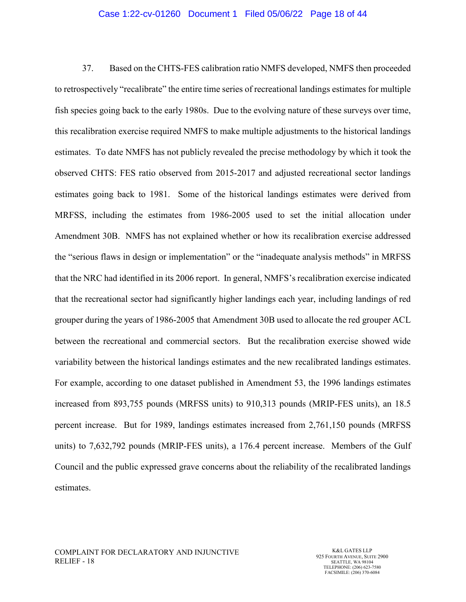#### Case 1:22-cv-01260 Document 1 Filed 05/06/22 Page 18 of 44

37. Based on the CHTS-FES calibration ratio NMFS developed, NMFS then proceeded to retrospectively "recalibrate" the entire time series of recreational landings estimates for multiple fish species going back to the early 1980s. Due to the evolving nature of these surveys over time, this recalibration exercise required NMFS to make multiple adjustments to the historical landings estimates. To date NMFS has not publicly revealed the precise methodology by which it took the observed CHTS: FES ratio observed from 2015-2017 and adjusted recreational sector landings estimates going back to 1981. Some of the historical landings estimates were derived from MRFSS, including the estimates from 1986-2005 used to set the initial allocation under Amendment 30B. NMFS has not explained whether or how its recalibration exercise addressed the "serious flaws in design or implementation" or the "inadequate analysis methods" in MRFSS that the NRC had identified in its 2006 report. In general, NMFS's recalibration exercise indicated that the recreational sector had significantly higher landings each year, including landings of red grouper during the years of 1986-2005 that Amendment 30B used to allocate the red grouper ACL between the recreational and commercial sectors. But the recalibration exercise showed wide variability between the historical landings estimates and the new recalibrated landings estimates. For example, according to one dataset published in Amendment 53, the 1996 landings estimates increased from 893,755 pounds (MRFSS units) to 910,313 pounds (MRIP-FES units), an 18.5 percent increase. But for 1989, landings estimates increased from 2,761,150 pounds (MRFSS units) to 7,632,792 pounds (MRIP-FES units), a 176.4 percent increase. Members of the Gulf Council and the public expressed grave concerns about the reliability of the recalibrated landings estimates.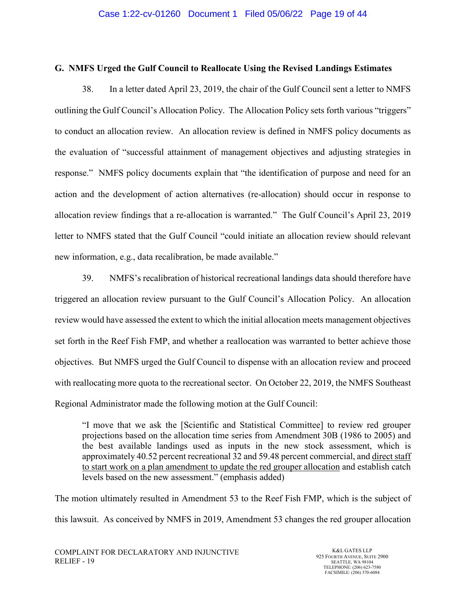### **G. NMFS Urged the Gulf Council to Reallocate Using the Revised Landings Estimates**

38. In a letter dated April 23, 2019, the chair of the Gulf Council sent a letter to NMFS outlining the Gulf Council's Allocation Policy. The Allocation Policy sets forth various "triggers" to conduct an allocation review. An allocation review is defined in NMFS policy documents as the evaluation of "successful attainment of management objectives and adjusting strategies in response." NMFS policy documents explain that "the identification of purpose and need for an action and the development of action alternatives (re-allocation) should occur in response to allocation review findings that a re-allocation is warranted." The Gulf Council's April 23, 2019 letter to NMFS stated that the Gulf Council "could initiate an allocation review should relevant new information, e.g., data recalibration, be made available."

39. NMFS's recalibration of historical recreational landings data should therefore have triggered an allocation review pursuant to the Gulf Council's Allocation Policy. An allocation review would have assessed the extent to which the initial allocation meets management objectives set forth in the Reef Fish FMP, and whether a reallocation was warranted to better achieve those objectives. But NMFS urged the Gulf Council to dispense with an allocation review and proceed with reallocating more quota to the recreational sector. On October 22, 2019, the NMFS Southeast Regional Administrator made the following motion at the Gulf Council:

"I move that we ask the [Scientific and Statistical Committee] to review red grouper projections based on the allocation time series from Amendment 30B (1986 to 2005) and the best available landings used as inputs in the new stock assessment, which is approximately 40.52 percent recreational 32 and 59.48 percent commercial, and direct staff to start work on a plan amendment to update the red grouper allocation and establish catch levels based on the new assessment." (emphasis added)

The motion ultimately resulted in Amendment 53 to the Reef Fish FMP, which is the subject of this lawsuit. As conceived by NMFS in 2019, Amendment 53 changes the red grouper allocation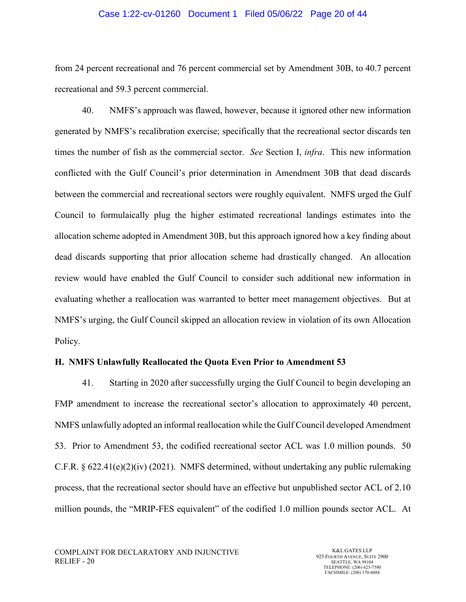#### Case 1:22-cv-01260 Document 1 Filed 05/06/22 Page 20 of 44

from 24 percent recreational and 76 percent commercial set by Amendment 30B, to 40.7 percent recreational and 59.3 percent commercial.

40. NMFS's approach was flawed, however, because it ignored other new information generated by NMFS's recalibration exercise; specifically that the recreational sector discards ten times the number of fish as the commercial sector. *See* Section I, *infra*. This new information conflicted with the Gulf Council's prior determination in Amendment 30B that dead discards between the commercial and recreational sectors were roughly equivalent. NMFS urged the Gulf Council to formulaically plug the higher estimated recreational landings estimates into the allocation scheme adopted in Amendment 30B, but this approach ignored how a key finding about dead discards supporting that prior allocation scheme had drastically changed. An allocation review would have enabled the Gulf Council to consider such additional new information in evaluating whether a reallocation was warranted to better meet management objectives. But at NMFS's urging, the Gulf Council skipped an allocation review in violation of its own Allocation Policy.

#### **H. NMFS Unlawfully Reallocated the Quota Even Prior to Amendment 53**

41. Starting in 2020 after successfully urging the Gulf Council to begin developing an FMP amendment to increase the recreational sector's allocation to approximately 40 percent, NMFS unlawfully adopted an informal reallocation while the Gulf Council developed Amendment 53. Prior to Amendment 53, the codified recreational sector ACL was 1.0 million pounds. 50 C.F.R.  $\S 622.41(e)(2)(iv)$  (2021). NMFS determined, without undertaking any public rulemaking process, that the recreational sector should have an effective but unpublished sector ACL of 2.10 million pounds, the "MRIP-FES equivalent" of the codified 1.0 million pounds sector ACL. At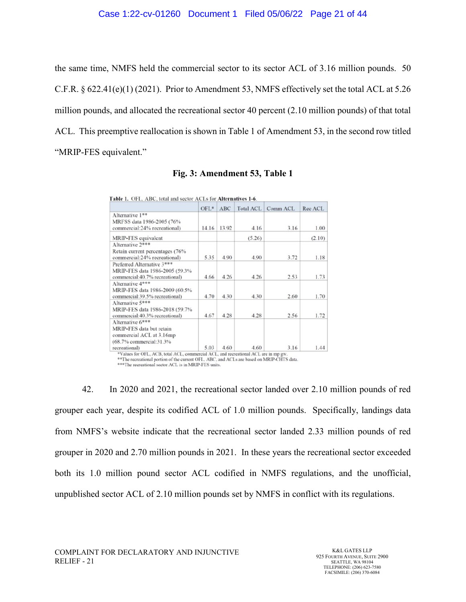the same time, NMFS held the commercial sector to its sector ACL of 3.16 million pounds. 50 C.F.R. § 622.41(e)(1) (2021). Prior to Amendment 53, NMFS effectively set the total ACL at 5.26 million pounds, and allocated the recreational sector 40 percent (2.10 million pounds) of that total ACL. This preemptive reallocation is shown in Table 1 of Amendment 53, in the second row titled "MRIP-FES equivalent."

|                                                                                                                       | $OFL*$ | <b>ABC</b> | <b>Total ACL</b> | Comm ACL | Rec ACL |
|-----------------------------------------------------------------------------------------------------------------------|--------|------------|------------------|----------|---------|
| Alternative 1**<br>MRFSS data 1986-2005 (76%<br>commercial:24% recreational)                                          | 14.16  | 13.92      | 4.16             | 3.16     | 1.00    |
| MRIP-FES equivalent                                                                                                   |        |            | (5.26)           |          | (2.10)  |
| Alternative 2***<br>Retain current percentages (76%<br>commercial:24% recreational)                                   | 5.35   | 4.90       | 4.90             | 3.72     | 1.18    |
| Preferred Alternative 3***<br>MRIP-FES data 1986-2005 (59.3%<br>commercial:40.7% recreational)                        | 4.66   | 4.26       | 4.26             | 2.53     | 1.73    |
| Alternative 4***<br>MRIP-FES data 1986-2009 (60.5%<br>commercial:39.5% recreational)                                  | 4.70   | 4.30       | 4.30             | 2.60     | 1.70    |
| Alternative 5***<br>MRIP-FES data 1986-2018 (59.7%<br>commercial:40.3% recreational)                                  | 4.67   | 4.28       | 4.28             | 2.56     | 1.72    |
| Alternative 6***<br>MRIP-FES data but retain<br>commercial ACL at 3.16mp<br>(68.7% commercial:31.3%)<br>recreational) | 5.03   | 4.60       | 4.60             | 3.16     | 1.44    |

### **Fig. 3: Amendment 53, Table 1**

\*\*\* The recreational sector ACL is in MRIP-FES units.

42. In 2020 and 2021, the recreational sector landed over 2.10 million pounds of red grouper each year, despite its codified ACL of 1.0 million pounds. Specifically, landings data from NMFS's website indicate that the recreational sector landed 2.33 million pounds of red grouper in 2020 and 2.70 million pounds in 2021. In these years the recreational sector exceeded both its 1.0 million pound sector ACL codified in NMFS regulations, and the unofficial, unpublished sector ACL of 2.10 million pounds set by NMFS in conflict with its regulations.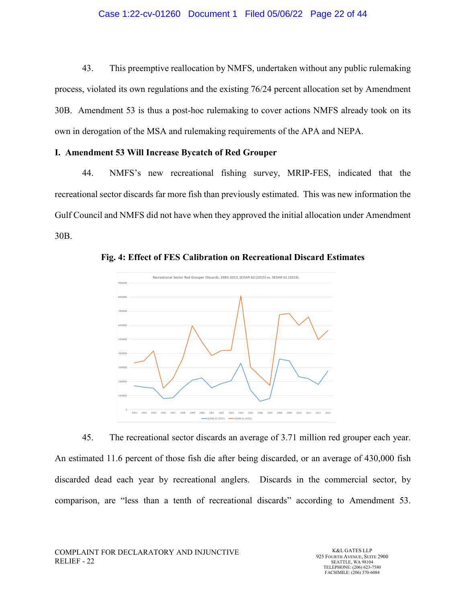#### Case 1:22-cv-01260 Document 1 Filed 05/06/22 Page 22 of 44

43. This preemptive reallocation by NMFS, undertaken without any public rulemaking process, violated its own regulations and the existing 76/24 percent allocation set by Amendment 30B. Amendment 53 is thus a post-hoc rulemaking to cover actions NMFS already took on its own in derogation of the MSA and rulemaking requirements of the APA and NEPA.

#### **I. Amendment 53 Will Increase Bycatch of Red Grouper**

44. NMFS's new recreational fishing survey, MRIP-FES, indicated that the recreational sector discards far more fish than previously estimated. This was new information the Gulf Council and NMFS did not have when they approved the initial allocation under Amendment 30B.



**Fig. 4: Effect of FES Calibration on Recreational Discard Estimates** 

45. The recreational sector discards an average of 3.71 million red grouper each year. An estimated 11.6 percent of those fish die after being discarded, or an average of 430,000 fish discarded dead each year by recreational anglers. Discards in the commercial sector, by comparison, are "less than a tenth of recreational discards" according to Amendment 53.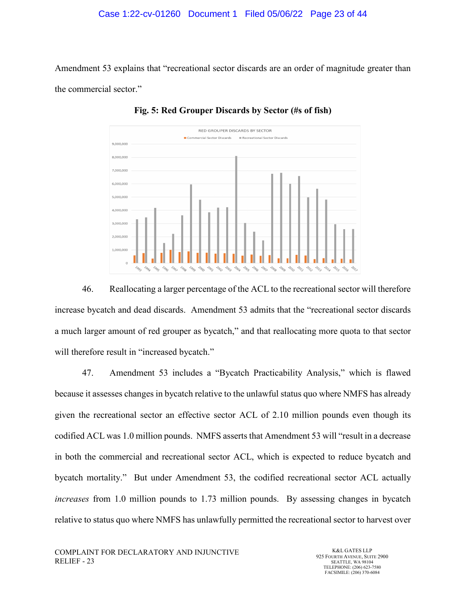### Case 1:22-cv-01260 Document 1 Filed 05/06/22 Page 23 of 44

Amendment 53 explains that "recreational sector discards are an order of magnitude greater than the commercial sector."



**Fig. 5: Red Grouper Discards by Sector (#s of fish)**

46. Reallocating a larger percentage of the ACL to the recreational sector will therefore increase bycatch and dead discards. Amendment 53 admits that the "recreational sector discards a much larger amount of red grouper as bycatch," and that reallocating more quota to that sector will therefore result in "increased bycatch."

47. Amendment 53 includes a "Bycatch Practicability Analysis," which is flawed because it assesses changes in bycatch relative to the unlawful status quo where NMFS has already given the recreational sector an effective sector ACL of 2.10 million pounds even though its codified ACL was 1.0 million pounds. NMFS asserts that Amendment 53 will "result in a decrease in both the commercial and recreational sector ACL, which is expected to reduce bycatch and bycatch mortality." But under Amendment 53, the codified recreational sector ACL actually *increases* from 1.0 million pounds to 1.73 million pounds. By assessing changes in bycatch relative to status quo where NMFS has unlawfully permitted the recreational sector to harvest over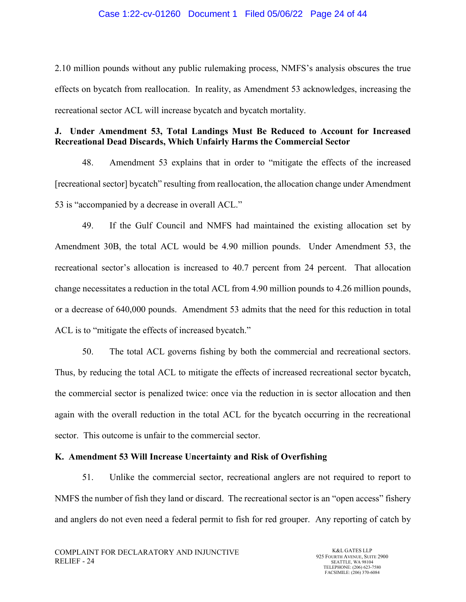#### Case 1:22-cv-01260 Document 1 Filed 05/06/22 Page 24 of 44

2.10 million pounds without any public rulemaking process, NMFS's analysis obscures the true effects on bycatch from reallocation. In reality, as Amendment 53 acknowledges, increasing the recreational sector ACL will increase bycatch and bycatch mortality.

# **J. Under Amendment 53, Total Landings Must Be Reduced to Account for Increased Recreational Dead Discards, Which Unfairly Harms the Commercial Sector**

48. Amendment 53 explains that in order to "mitigate the effects of the increased [recreational sector] bycatch" resulting from reallocation, the allocation change under Amendment 53 is "accompanied by a decrease in overall ACL."

49. If the Gulf Council and NMFS had maintained the existing allocation set by Amendment 30B, the total ACL would be 4.90 million pounds. Under Amendment 53, the recreational sector's allocation is increased to 40.7 percent from 24 percent. That allocation change necessitates a reduction in the total ACL from 4.90 million pounds to 4.26 million pounds, or a decrease of 640,000 pounds. Amendment 53 admits that the need for this reduction in total ACL is to "mitigate the effects of increased bycatch."

50. The total ACL governs fishing by both the commercial and recreational sectors. Thus, by reducing the total ACL to mitigate the effects of increased recreational sector bycatch, the commercial sector is penalized twice: once via the reduction in is sector allocation and then again with the overall reduction in the total ACL for the bycatch occurring in the recreational sector. This outcome is unfair to the commercial sector.

## **K. Amendment 53 Will Increase Uncertainty and Risk of Overfishing**

51. Unlike the commercial sector, recreational anglers are not required to report to NMFS the number of fish they land or discard. The recreational sector is an "open access" fishery and anglers do not even need a federal permit to fish for red grouper. Any reporting of catch by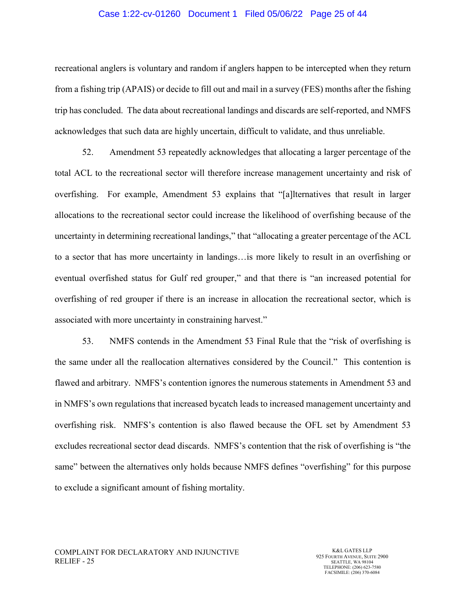#### Case 1:22-cv-01260 Document 1 Filed 05/06/22 Page 25 of 44

recreational anglers is voluntary and random if anglers happen to be intercepted when they return from a fishing trip (APAIS) or decide to fill out and mail in a survey (FES) months after the fishing trip has concluded. The data about recreational landings and discards are self-reported, and NMFS acknowledges that such data are highly uncertain, difficult to validate, and thus unreliable.

52. Amendment 53 repeatedly acknowledges that allocating a larger percentage of the total ACL to the recreational sector will therefore increase management uncertainty and risk of overfishing. For example, Amendment 53 explains that "[a]lternatives that result in larger allocations to the recreational sector could increase the likelihood of overfishing because of the uncertainty in determining recreational landings," that "allocating a greater percentage of the ACL to a sector that has more uncertainty in landings…is more likely to result in an overfishing or eventual overfished status for Gulf red grouper," and that there is "an increased potential for overfishing of red grouper if there is an increase in allocation the recreational sector, which is associated with more uncertainty in constraining harvest."

53. NMFS contends in the Amendment 53 Final Rule that the "risk of overfishing is the same under all the reallocation alternatives considered by the Council." This contention is flawed and arbitrary. NMFS's contention ignores the numerous statements in Amendment 53 and in NMFS's own regulations that increased bycatch leads to increased management uncertainty and overfishing risk. NMFS's contention is also flawed because the OFL set by Amendment 53 excludes recreational sector dead discards. NMFS's contention that the risk of overfishing is "the same" between the alternatives only holds because NMFS defines "overfishing" for this purpose to exclude a significant amount of fishing mortality.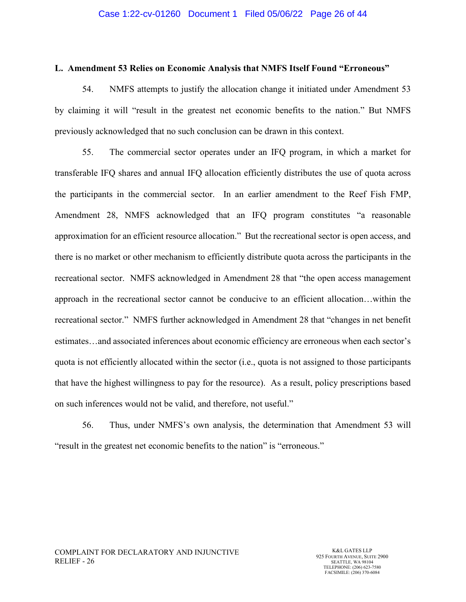#### **L. Amendment 53 Relies on Economic Analysis that NMFS Itself Found "Erroneous"**

54. NMFS attempts to justify the allocation change it initiated under Amendment 53 by claiming it will "result in the greatest net economic benefits to the nation." But NMFS previously acknowledged that no such conclusion can be drawn in this context.

55. The commercial sector operates under an IFQ program, in which a market for transferable IFQ shares and annual IFQ allocation efficiently distributes the use of quota across the participants in the commercial sector. In an earlier amendment to the Reef Fish FMP, Amendment 28, NMFS acknowledged that an IFQ program constitutes "a reasonable approximation for an efficient resource allocation." But the recreational sector is open access, and there is no market or other mechanism to efficiently distribute quota across the participants in the recreational sector. NMFS acknowledged in Amendment 28 that "the open access management approach in the recreational sector cannot be conducive to an efficient allocation…within the recreational sector." NMFS further acknowledged in Amendment 28 that "changes in net benefit estimates…and associated inferences about economic efficiency are erroneous when each sector's quota is not efficiently allocated within the sector (i.e., quota is not assigned to those participants that have the highest willingness to pay for the resource). As a result, policy prescriptions based on such inferences would not be valid, and therefore, not useful."

56. Thus, under NMFS's own analysis, the determination that Amendment 53 will "result in the greatest net economic benefits to the nation" is "erroneous."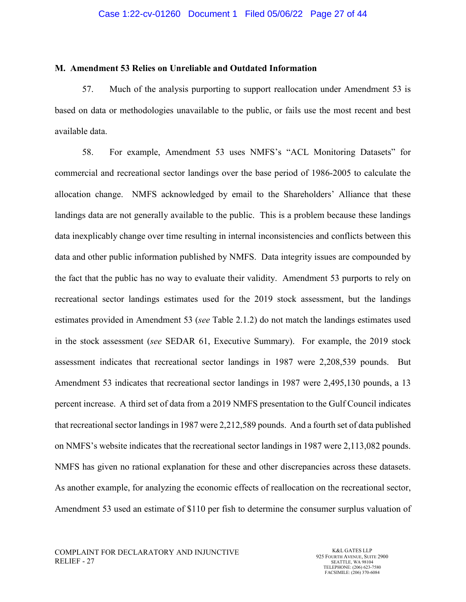#### **M. Amendment 53 Relies on Unreliable and Outdated Information**

57. Much of the analysis purporting to support reallocation under Amendment 53 is based on data or methodologies unavailable to the public, or fails use the most recent and best available data.

58. For example, Amendment 53 uses NMFS's "ACL Monitoring Datasets" for commercial and recreational sector landings over the base period of 1986-2005 to calculate the allocation change. NMFS acknowledged by email to the Shareholders' Alliance that these landings data are not generally available to the public. This is a problem because these landings data inexplicably change over time resulting in internal inconsistencies and conflicts between this data and other public information published by NMFS. Data integrity issues are compounded by the fact that the public has no way to evaluate their validity. Amendment 53 purports to rely on recreational sector landings estimates used for the 2019 stock assessment, but the landings estimates provided in Amendment 53 (*see* Table 2.1.2) do not match the landings estimates used in the stock assessment (*see* SEDAR 61, Executive Summary). For example, the 2019 stock assessment indicates that recreational sector landings in 1987 were 2,208,539 pounds. But Amendment 53 indicates that recreational sector landings in 1987 were 2,495,130 pounds, a 13 percent increase. A third set of data from a 2019 NMFS presentation to the Gulf Council indicates that recreational sector landings in 1987 were 2,212,589 pounds. And a fourth set of data published on NMFS's website indicates that the recreational sector landings in 1987 were 2,113,082 pounds. NMFS has given no rational explanation for these and other discrepancies across these datasets. As another example, for analyzing the economic effects of reallocation on the recreational sector, Amendment 53 used an estimate of \$110 per fish to determine the consumer surplus valuation of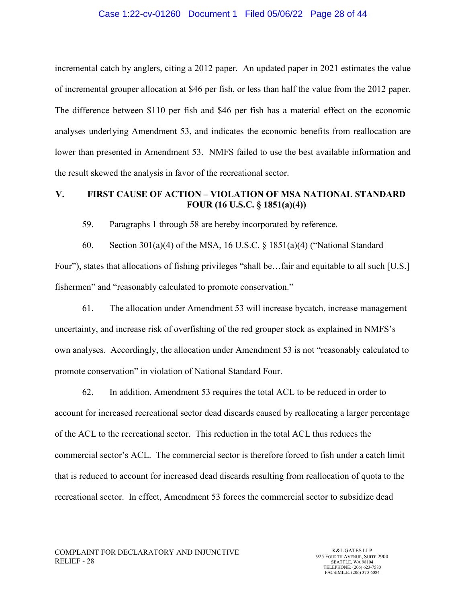#### Case 1:22-cv-01260 Document 1 Filed 05/06/22 Page 28 of 44

incremental catch by anglers, citing a 2012 paper. An updated paper in 2021 estimates the value of incremental grouper allocation at \$46 per fish, or less than half the value from the 2012 paper. The difference between \$110 per fish and \$46 per fish has a material effect on the economic analyses underlying Amendment 53, and indicates the economic benefits from reallocation are lower than presented in Amendment 53. NMFS failed to use the best available information and the result skewed the analysis in favor of the recreational sector.

## **V. FIRST CAUSE OF ACTION – VIOLATION OF MSA NATIONAL STANDARD FOUR (16 U.S.C. § 1851(a)(4))**

59. Paragraphs 1 through 58 are hereby incorporated by reference.

60. Section 301(a)(4) of the MSA, 16 U.S.C. § 1851(a)(4) ("National Standard Four"), states that allocations of fishing privileges "shall be…fair and equitable to all such [U.S.] fishermen" and "reasonably calculated to promote conservation."

61. The allocation under Amendment 53 will increase bycatch, increase management uncertainty, and increase risk of overfishing of the red grouper stock as explained in NMFS's own analyses. Accordingly, the allocation under Amendment 53 is not "reasonably calculated to promote conservation" in violation of National Standard Four.

62. In addition, Amendment 53 requires the total ACL to be reduced in order to account for increased recreational sector dead discards caused by reallocating a larger percentage of the ACL to the recreational sector. This reduction in the total ACL thus reduces the commercial sector's ACL. The commercial sector is therefore forced to fish under a catch limit that is reduced to account for increased dead discards resulting from reallocation of quota to the recreational sector. In effect, Amendment 53 forces the commercial sector to subsidize dead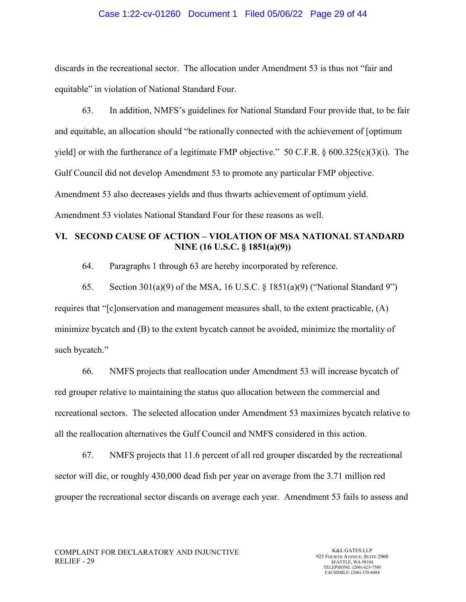#### Case 1:22-cv-01260 Document 1 Filed 05/06/22 Page 29 of 44

discards in the recreational sector. The allocation under Amendment 53 is thus not "fair and equitable" in violation of National Standard Four.

63. In addition, NMFS's guidelines for National Standard Four provide that, to be fair and equitable, an allocation should "be rationally connected with the achievement of [optimum yield] or with the furtherance of a legitimate FMP objective." 50 C.F.R. § 600.325(c)(3)(i). The Gulf Council did not develop Amendment 53 to promote any particular FMP objective. Amendment 53 also decreases yields and thus thwarts achievement of optimum yield. Amendment 53 violates National Standard Four for these reasons as well.

# **VI. SECOND CAUSE OF ACTION – VIOLATION OF MSA NATIONAL STANDARD NINE (16 U.S.C. § 1851(a)(9))**

64. Paragraphs 1 through 63 are hereby incorporated by reference.

65. Section 301(a)(9) of the MSA, 16 U.S.C. § 1851(a)(9) ("National Standard 9") requires that "[c]onservation and management measures shall, to the extent practicable, (A) minimize bycatch and (B) to the extent bycatch cannot be avoided, minimize the mortality of such bycatch."

66. NMFS projects that reallocation under Amendment 53 will increase bycatch of red grouper relative to maintaining the status quo allocation between the commercial and recreational sectors. The selected allocation under Amendment 53 maximizes bycatch relative to all the reallocation alternatives the Gulf Council and NMFS considered in this action.

67. NMFS projects that 11.6 percent of all red grouper discarded by the recreational sector will die, or roughly 430,000 dead fish per year on average from the 3.71 million red grouper the recreational sector discards on average each year. Amendment 53 fails to assess and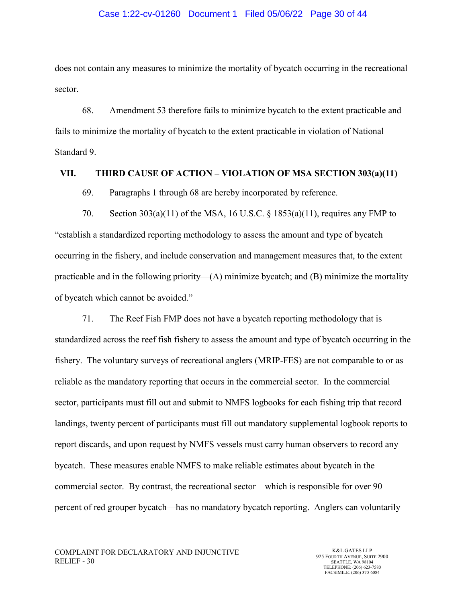#### Case 1:22-cv-01260 Document 1 Filed 05/06/22 Page 30 of 44

does not contain any measures to minimize the mortality of bycatch occurring in the recreational sector.

68. Amendment 53 therefore fails to minimize bycatch to the extent practicable and fails to minimize the mortality of bycatch to the extent practicable in violation of National Standard 9.

#### **VII. THIRD CAUSE OF ACTION – VIOLATION OF MSA SECTION 303(a)(11)**

69. Paragraphs 1 through 68 are hereby incorporated by reference.

70. Section 303(a)(11) of the MSA, 16 U.S.C. § 1853(a)(11), requires any FMP to "establish a standardized reporting methodology to assess the amount and type of bycatch occurring in the fishery, and include conservation and management measures that, to the extent practicable and in the following priority— $(A)$  minimize bycatch; and  $(B)$  minimize the mortality of bycatch which cannot be avoided."

71. The Reef Fish FMP does not have a bycatch reporting methodology that is standardized across the reef fish fishery to assess the amount and type of bycatch occurring in the fishery. The voluntary surveys of recreational anglers (MRIP-FES) are not comparable to or as reliable as the mandatory reporting that occurs in the commercial sector. In the commercial sector, participants must fill out and submit to NMFS logbooks for each fishing trip that record landings, twenty percent of participants must fill out mandatory supplemental logbook reports to report discards, and upon request by NMFS vessels must carry human observers to record any bycatch. These measures enable NMFS to make reliable estimates about bycatch in the commercial sector. By contrast, the recreational sector—which is responsible for over 90 percent of red grouper bycatch—has no mandatory bycatch reporting. Anglers can voluntarily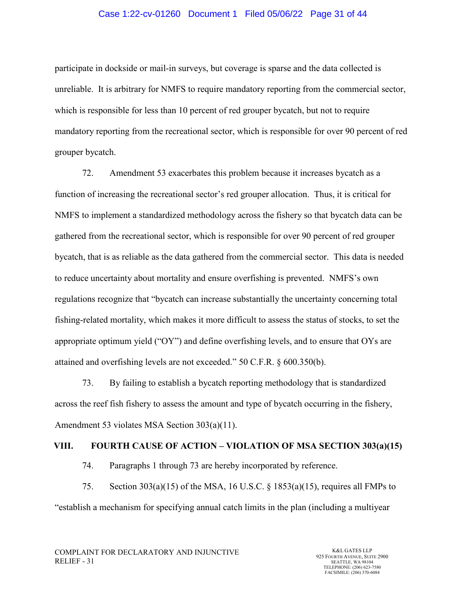### Case 1:22-cv-01260 Document 1 Filed 05/06/22 Page 31 of 44

participate in dockside or mail-in surveys, but coverage is sparse and the data collected is unreliable. It is arbitrary for NMFS to require mandatory reporting from the commercial sector, which is responsible for less than 10 percent of red grouper bycatch, but not to require mandatory reporting from the recreational sector, which is responsible for over 90 percent of red grouper bycatch.

72. Amendment 53 exacerbates this problem because it increases bycatch as a function of increasing the recreational sector's red grouper allocation. Thus, it is critical for NMFS to implement a standardized methodology across the fishery so that bycatch data can be gathered from the recreational sector, which is responsible for over 90 percent of red grouper bycatch, that is as reliable as the data gathered from the commercial sector. This data is needed to reduce uncertainty about mortality and ensure overfishing is prevented. NMFS's own regulations recognize that "bycatch can increase substantially the uncertainty concerning total fishing-related mortality, which makes it more difficult to assess the status of stocks, to set the appropriate optimum yield ("OY") and define overfishing levels, and to ensure that OYs are attained and overfishing levels are not exceeded." 50 C.F.R. § 600.350(b).

73. By failing to establish a bycatch reporting methodology that is standardized across the reef fish fishery to assess the amount and type of bycatch occurring in the fishery, Amendment 53 violates MSA Section 303(a)(11).

#### **VIII. FOURTH CAUSE OF ACTION – VIOLATION OF MSA SECTION 303(a)(15)**

74. Paragraphs 1 through 73 are hereby incorporated by reference.

75. Section 303(a)(15) of the MSA, 16 U.S.C. § 1853(a)(15), requires all FMPs to "establish a mechanism for specifying annual catch limits in the plan (including a multiyear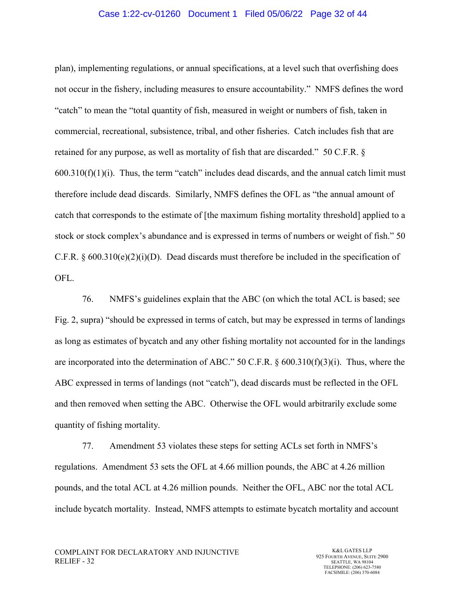#### Case 1:22-cv-01260 Document 1 Filed 05/06/22 Page 32 of 44

plan), implementing regulations, or annual specifications, at a level such that overfishing does not occur in the fishery, including measures to ensure accountability." NMFS defines the word "catch" to mean the "total quantity of fish, measured in weight or numbers of fish, taken in commercial, recreational, subsistence, tribal, and other fisheries. Catch includes fish that are retained for any purpose, as well as mortality of fish that are discarded." 50 C.F.R. §  $600.310(f)(1)(i)$ . Thus, the term "catch" includes dead discards, and the annual catch limit must therefore include dead discards. Similarly, NMFS defines the OFL as "the annual amount of catch that corresponds to the estimate of [the maximum fishing mortality threshold] applied to a stock or stock complex's abundance and is expressed in terms of numbers or weight of fish." 50 C.F.R. § 600.310(e)(2)(i)(D). Dead discards must therefore be included in the specification of OFL.

76. NMFS's guidelines explain that the ABC (on which the total ACL is based; see Fig. 2, supra) "should be expressed in terms of catch, but may be expressed in terms of landings as long as estimates of bycatch and any other fishing mortality not accounted for in the landings are incorporated into the determination of ABC." 50 C.F.R. § 600.310(f)(3)(i). Thus, where the ABC expressed in terms of landings (not "catch"), dead discards must be reflected in the OFL and then removed when setting the ABC. Otherwise the OFL would arbitrarily exclude some quantity of fishing mortality.

77. Amendment 53 violates these steps for setting ACLs set forth in NMFS's regulations. Amendment 53 sets the OFL at 4.66 million pounds, the ABC at 4.26 million pounds, and the total ACL at 4.26 million pounds. Neither the OFL, ABC nor the total ACL include bycatch mortality. Instead, NMFS attempts to estimate bycatch mortality and account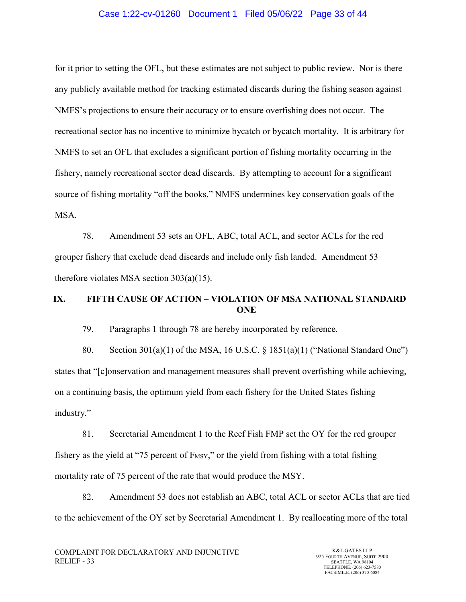#### Case 1:22-cv-01260 Document 1 Filed 05/06/22 Page 33 of 44

for it prior to setting the OFL, but these estimates are not subject to public review. Nor is there any publicly available method for tracking estimated discards during the fishing season against NMFS's projections to ensure their accuracy or to ensure overfishing does not occur. The recreational sector has no incentive to minimize bycatch or bycatch mortality. It is arbitrary for NMFS to set an OFL that excludes a significant portion of fishing mortality occurring in the fishery, namely recreational sector dead discards. By attempting to account for a significant source of fishing mortality "off the books," NMFS undermines key conservation goals of the MSA.

78. Amendment 53 sets an OFL, ABC, total ACL, and sector ACLs for the red grouper fishery that exclude dead discards and include only fish landed. Amendment 53 therefore violates MSA section 303(a)(15).

# **IX. FIFTH CAUSE OF ACTION – VIOLATION OF MSA NATIONAL STANDARD ONE**

79. Paragraphs 1 through 78 are hereby incorporated by reference.

80. Section 301(a)(1) of the MSA, 16 U.S.C. § 1851(a)(1) ("National Standard One") states that "[c]onservation and management measures shall prevent overfishing while achieving, on a continuing basis, the optimum yield from each fishery for the United States fishing industry."

81. Secretarial Amendment 1 to the Reef Fish FMP set the OY for the red grouper fishery as the yield at "75 percent of  $F_{MSY}$ ," or the yield from fishing with a total fishing mortality rate of 75 percent of the rate that would produce the MSY.

82. Amendment 53 does not establish an ABC, total ACL or sector ACLs that are tied to the achievement of the OY set by Secretarial Amendment 1. By reallocating more of the total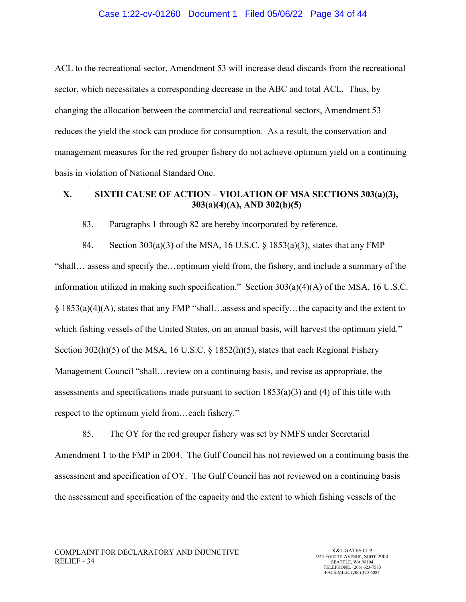#### Case 1:22-cv-01260 Document 1 Filed 05/06/22 Page 34 of 44

ACL to the recreational sector, Amendment 53 will increase dead discards from the recreational sector, which necessitates a corresponding decrease in the ABC and total ACL. Thus, by changing the allocation between the commercial and recreational sectors, Amendment 53 reduces the yield the stock can produce for consumption. As a result, the conservation and management measures for the red grouper fishery do not achieve optimum yield on a continuing basis in violation of National Standard One.

## **X. SIXTH CAUSE OF ACTION – VIOLATION OF MSA SECTIONS 303(a)(3), 303(a)(4)(A), AND 302(h)(5)**

83. Paragraphs 1 through 82 are hereby incorporated by reference.

84. Section 303(a)(3) of the MSA, 16 U.S.C. § 1853(a)(3), states that any FMP "shall… assess and specify the…optimum yield from, the fishery, and include a summary of the information utilized in making such specification." Section 303(a)(4)(A) of the MSA, 16 U.S.C. § 1853(a)(4)(A), states that any FMP "shall…assess and specify…the capacity and the extent to which fishing vessels of the United States, on an annual basis, will harvest the optimum yield." Section 302(h)(5) of the MSA, 16 U.S.C.  $\S$  1852(h)(5), states that each Regional Fishery Management Council "shall…review on a continuing basis, and revise as appropriate, the assessments and specifications made pursuant to section  $1853(a)(3)$  and (4) of this title with respect to the optimum yield from…each fishery."

85. The OY for the red grouper fishery was set by NMFS under Secretarial Amendment 1 to the FMP in 2004. The Gulf Council has not reviewed on a continuing basis the assessment and specification of OY. The Gulf Council has not reviewed on a continuing basis the assessment and specification of the capacity and the extent to which fishing vessels of the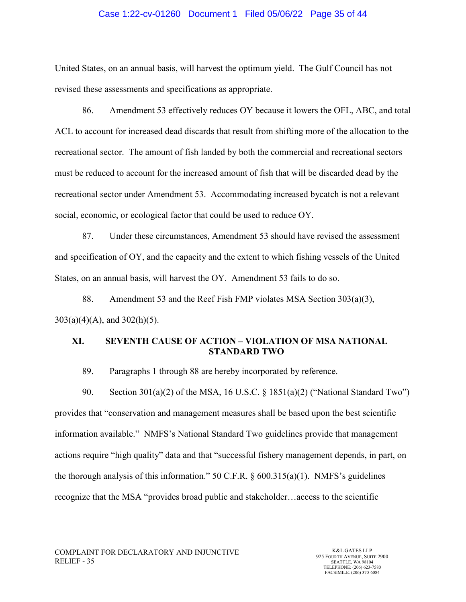#### Case 1:22-cv-01260 Document 1 Filed 05/06/22 Page 35 of 44

United States, on an annual basis, will harvest the optimum yield. The Gulf Council has not revised these assessments and specifications as appropriate.

86. Amendment 53 effectively reduces OY because it lowers the OFL, ABC, and total ACL to account for increased dead discards that result from shifting more of the allocation to the recreational sector. The amount of fish landed by both the commercial and recreational sectors must be reduced to account for the increased amount of fish that will be discarded dead by the recreational sector under Amendment 53. Accommodating increased bycatch is not a relevant social, economic, or ecological factor that could be used to reduce OY.

87. Under these circumstances, Amendment 53 should have revised the assessment and specification of OY, and the capacity and the extent to which fishing vessels of the United States, on an annual basis, will harvest the OY. Amendment 53 fails to do so.

88. Amendment 53 and the Reef Fish FMP violates MSA Section 303(a)(3), 303(a)(4)(A), and 302(h)(5).

## **XI. SEVENTH CAUSE OF ACTION – VIOLATION OF MSA NATIONAL STANDARD TWO**

89. Paragraphs 1 through 88 are hereby incorporated by reference.

90. Section 301(a)(2) of the MSA, 16 U.S.C. § 1851(a)(2) ("National Standard Two") provides that "conservation and management measures shall be based upon the best scientific information available." NMFS's National Standard Two guidelines provide that management actions require "high quality" data and that "successful fishery management depends, in part, on the thorough analysis of this information." 50 C.F.R.  $\S$  600.315(a)(1). NMFS's guidelines recognize that the MSA "provides broad public and stakeholder…access to the scientific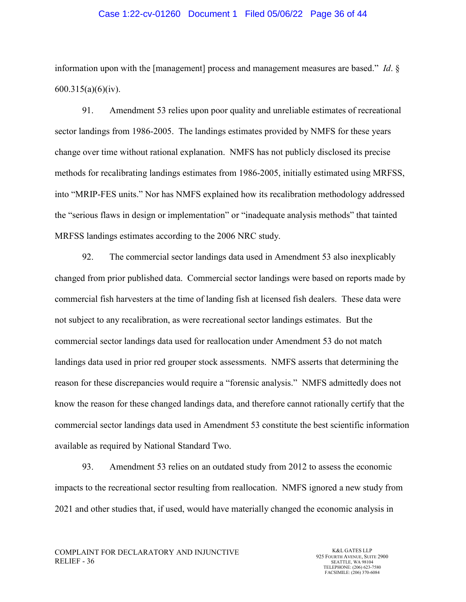#### Case 1:22-cv-01260 Document 1 Filed 05/06/22 Page 36 of 44

information upon with the [management] process and management measures are based." *Id*. § 600.315(a)(6)(iv).

91. Amendment 53 relies upon poor quality and unreliable estimates of recreational sector landings from 1986-2005. The landings estimates provided by NMFS for these years change over time without rational explanation. NMFS has not publicly disclosed its precise methods for recalibrating landings estimates from 1986-2005, initially estimated using MRFSS, into "MRIP-FES units." Nor has NMFS explained how its recalibration methodology addressed the "serious flaws in design or implementation" or "inadequate analysis methods" that tainted MRFSS landings estimates according to the 2006 NRC study.

92. The commercial sector landings data used in Amendment 53 also inexplicably changed from prior published data. Commercial sector landings were based on reports made by commercial fish harvesters at the time of landing fish at licensed fish dealers. These data were not subject to any recalibration, as were recreational sector landings estimates. But the commercial sector landings data used for reallocation under Amendment 53 do not match landings data used in prior red grouper stock assessments. NMFS asserts that determining the reason for these discrepancies would require a "forensic analysis." NMFS admittedly does not know the reason for these changed landings data, and therefore cannot rationally certify that the commercial sector landings data used in Amendment 53 constitute the best scientific information available as required by National Standard Two.

93. Amendment 53 relies on an outdated study from 2012 to assess the economic impacts to the recreational sector resulting from reallocation. NMFS ignored a new study from 2021 and other studies that, if used, would have materially changed the economic analysis in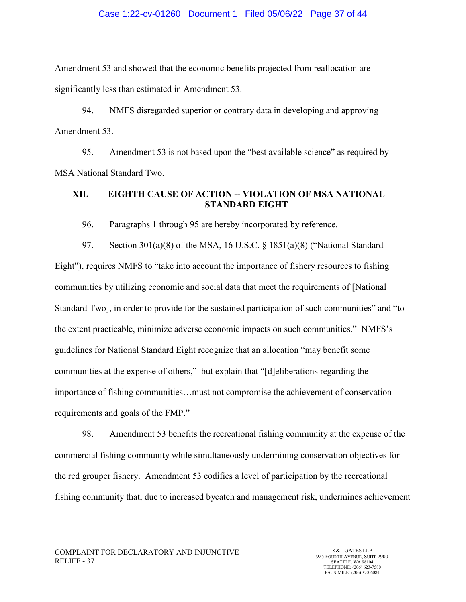#### Case 1:22-cv-01260 Document 1 Filed 05/06/22 Page 37 of 44

Amendment 53 and showed that the economic benefits projected from reallocation are significantly less than estimated in Amendment 53.

94. NMFS disregarded superior or contrary data in developing and approving Amendment 53.

95. Amendment 53 is not based upon the "best available science" as required by MSA National Standard Two.

## **XII. EIGHTH CAUSE OF ACTION -- VIOLATION OF MSA NATIONAL STANDARD EIGHT**

96. Paragraphs 1 through 95 are hereby incorporated by reference.

97. Section 301(a)(8) of the MSA, 16 U.S.C. § 1851(a)(8) ("National Standard Eight"), requires NMFS to "take into account the importance of fishery resources to fishing communities by utilizing economic and social data that meet the requirements of [National Standard Two], in order to provide for the sustained participation of such communities" and "to the extent practicable, minimize adverse economic impacts on such communities." NMFS's guidelines for National Standard Eight recognize that an allocation "may benefit some communities at the expense of others," but explain that "[d]eliberations regarding the importance of fishing communities…must not compromise the achievement of conservation requirements and goals of the FMP."

98. Amendment 53 benefits the recreational fishing community at the expense of the commercial fishing community while simultaneously undermining conservation objectives for the red grouper fishery. Amendment 53 codifies a level of participation by the recreational fishing community that, due to increased bycatch and management risk, undermines achievement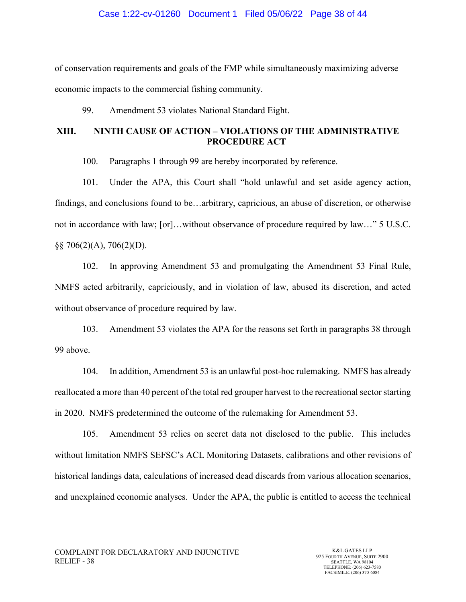#### Case 1:22-cv-01260 Document 1 Filed 05/06/22 Page 38 of 44

of conservation requirements and goals of the FMP while simultaneously maximizing adverse economic impacts to the commercial fishing community.

99. Amendment 53 violates National Standard Eight.

## **XIII. NINTH CAUSE OF ACTION – VIOLATIONS OF THE ADMINISTRATIVE PROCEDURE ACT**

100. Paragraphs 1 through 99 are hereby incorporated by reference.

101. Under the APA, this Court shall "hold unlawful and set aside agency action, findings, and conclusions found to be…arbitrary, capricious, an abuse of discretion, or otherwise not in accordance with law; [or]…without observance of procedure required by law…" 5 U.S.C.  $\S$ § 706(2)(A), 706(2)(D).

102. In approving Amendment 53 and promulgating the Amendment 53 Final Rule, NMFS acted arbitrarily, capriciously, and in violation of law, abused its discretion, and acted without observance of procedure required by law.

103. Amendment 53 violates the APA for the reasons set forth in paragraphs 38 through 99 above.

104. In addition, Amendment 53 is an unlawful post-hoc rulemaking. NMFS has already reallocated a more than 40 percent of the total red grouper harvest to the recreational sector starting in 2020. NMFS predetermined the outcome of the rulemaking for Amendment 53.

105. Amendment 53 relies on secret data not disclosed to the public. This includes without limitation NMFS SEFSC's ACL Monitoring Datasets, calibrations and other revisions of historical landings data, calculations of increased dead discards from various allocation scenarios, and unexplained economic analyses. Under the APA, the public is entitled to access the technical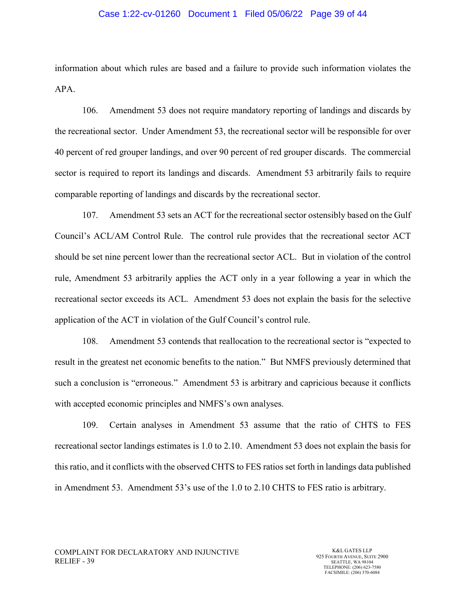### Case 1:22-cv-01260 Document 1 Filed 05/06/22 Page 39 of 44

information about which rules are based and a failure to provide such information violates the APA.

106. Amendment 53 does not require mandatory reporting of landings and discards by the recreational sector. Under Amendment 53, the recreational sector will be responsible for over 40 percent of red grouper landings, and over 90 percent of red grouper discards. The commercial sector is required to report its landings and discards. Amendment 53 arbitrarily fails to require comparable reporting of landings and discards by the recreational sector.

107. Amendment 53 sets an ACT for the recreational sector ostensibly based on the Gulf Council's ACL/AM Control Rule. The control rule provides that the recreational sector ACT should be set nine percent lower than the recreational sector ACL. But in violation of the control rule, Amendment 53 arbitrarily applies the ACT only in a year following a year in which the recreational sector exceeds its ACL. Amendment 53 does not explain the basis for the selective application of the ACT in violation of the Gulf Council's control rule.

108. Amendment 53 contends that reallocation to the recreational sector is "expected to result in the greatest net economic benefits to the nation." But NMFS previously determined that such a conclusion is "erroneous." Amendment 53 is arbitrary and capricious because it conflicts with accepted economic principles and NMFS's own analyses.

109. Certain analyses in Amendment 53 assume that the ratio of CHTS to FES recreational sector landings estimates is 1.0 to 2.10. Amendment 53 does not explain the basis for this ratio, and it conflicts with the observed CHTS to FES ratios set forth in landings data published in Amendment 53. Amendment 53's use of the 1.0 to 2.10 CHTS to FES ratio is arbitrary.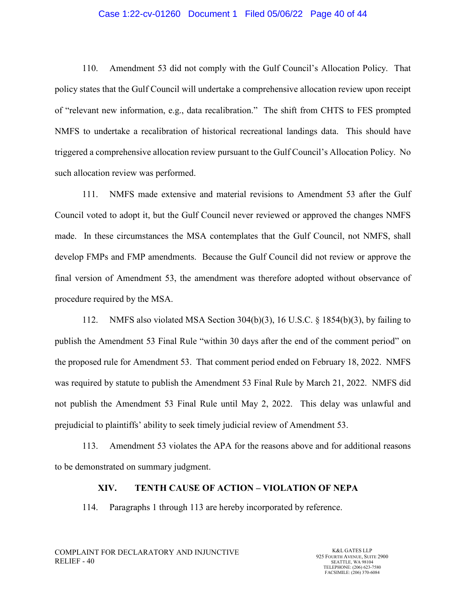#### Case 1:22-cv-01260 Document 1 Filed 05/06/22 Page 40 of 44

110. Amendment 53 did not comply with the Gulf Council's Allocation Policy. That policy states that the Gulf Council will undertake a comprehensive allocation review upon receipt of "relevant new information, e.g., data recalibration." The shift from CHTS to FES prompted NMFS to undertake a recalibration of historical recreational landings data. This should have triggered a comprehensive allocation review pursuant to the Gulf Council's Allocation Policy. No such allocation review was performed.

111. NMFS made extensive and material revisions to Amendment 53 after the Gulf Council voted to adopt it, but the Gulf Council never reviewed or approved the changes NMFS made. In these circumstances the MSA contemplates that the Gulf Council, not NMFS, shall develop FMPs and FMP amendments. Because the Gulf Council did not review or approve the final version of Amendment 53, the amendment was therefore adopted without observance of procedure required by the MSA.

112. NMFS also violated MSA Section 304(b)(3), 16 U.S.C. § 1854(b)(3), by failing to publish the Amendment 53 Final Rule "within 30 days after the end of the comment period" on the proposed rule for Amendment 53. That comment period ended on February 18, 2022. NMFS was required by statute to publish the Amendment 53 Final Rule by March 21, 2022. NMFS did not publish the Amendment 53 Final Rule until May 2, 2022. This delay was unlawful and prejudicial to plaintiffs' ability to seek timely judicial review of Amendment 53.

113. Amendment 53 violates the APA for the reasons above and for additional reasons to be demonstrated on summary judgment.

#### **XIV. TENTH CAUSE OF ACTION – VIOLATION OF NEPA**

114. Paragraphs 1 through 113 are hereby incorporated by reference.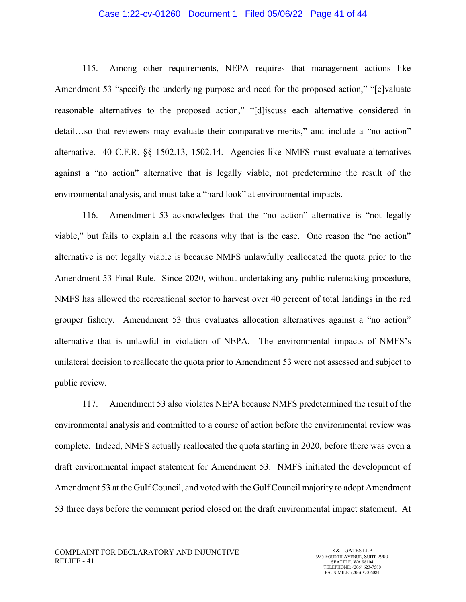#### Case 1:22-cv-01260 Document 1 Filed 05/06/22 Page 41 of 44

115. Among other requirements, NEPA requires that management actions like Amendment 53 "specify the underlying purpose and need for the proposed action," "[e]valuate reasonable alternatives to the proposed action," "[d]iscuss each alternative considered in detail…so that reviewers may evaluate their comparative merits," and include a "no action" alternative. 40 C.F.R. §§ 1502.13, 1502.14. Agencies like NMFS must evaluate alternatives against a "no action" alternative that is legally viable, not predetermine the result of the environmental analysis, and must take a "hard look" at environmental impacts.

116. Amendment 53 acknowledges that the "no action" alternative is "not legally viable," but fails to explain all the reasons why that is the case. One reason the "no action" alternative is not legally viable is because NMFS unlawfully reallocated the quota prior to the Amendment 53 Final Rule. Since 2020, without undertaking any public rulemaking procedure, NMFS has allowed the recreational sector to harvest over 40 percent of total landings in the red grouper fishery. Amendment 53 thus evaluates allocation alternatives against a "no action" alternative that is unlawful in violation of NEPA. The environmental impacts of NMFS's unilateral decision to reallocate the quota prior to Amendment 53 were not assessed and subject to public review.

117. Amendment 53 also violates NEPA because NMFS predetermined the result of the environmental analysis and committed to a course of action before the environmental review was complete. Indeed, NMFS actually reallocated the quota starting in 2020, before there was even a draft environmental impact statement for Amendment 53. NMFS initiated the development of Amendment 53 at the Gulf Council, and voted with the Gulf Council majority to adopt Amendment 53 three days before the comment period closed on the draft environmental impact statement. At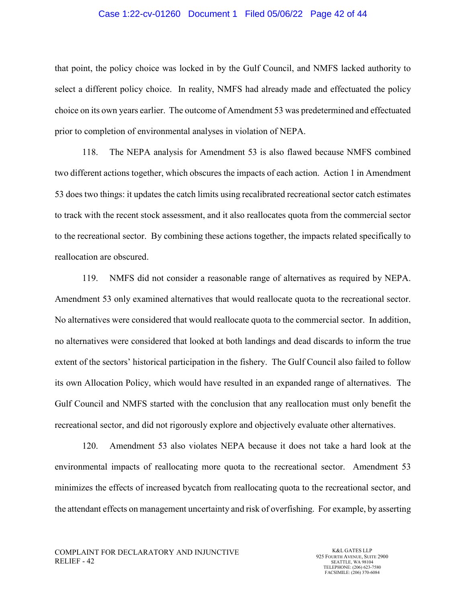#### Case 1:22-cv-01260 Document 1 Filed 05/06/22 Page 42 of 44

that point, the policy choice was locked in by the Gulf Council, and NMFS lacked authority to select a different policy choice. In reality, NMFS had already made and effectuated the policy choice on its own years earlier. The outcome of Amendment 53 was predetermined and effectuated prior to completion of environmental analyses in violation of NEPA.

118. The NEPA analysis for Amendment 53 is also flawed because NMFS combined two different actions together, which obscures the impacts of each action. Action 1 in Amendment 53 does two things: it updates the catch limits using recalibrated recreational sector catch estimates to track with the recent stock assessment, and it also reallocates quota from the commercial sector to the recreational sector. By combining these actions together, the impacts related specifically to reallocation are obscured.

119. NMFS did not consider a reasonable range of alternatives as required by NEPA. Amendment 53 only examined alternatives that would reallocate quota to the recreational sector. No alternatives were considered that would reallocate quota to the commercial sector. In addition, no alternatives were considered that looked at both landings and dead discards to inform the true extent of the sectors' historical participation in the fishery. The Gulf Council also failed to follow its own Allocation Policy, which would have resulted in an expanded range of alternatives. The Gulf Council and NMFS started with the conclusion that any reallocation must only benefit the recreational sector, and did not rigorously explore and objectively evaluate other alternatives.

120. Amendment 53 also violates NEPA because it does not take a hard look at the environmental impacts of reallocating more quota to the recreational sector. Amendment 53 minimizes the effects of increased bycatch from reallocating quota to the recreational sector, and the attendant effects on management uncertainty and risk of overfishing. For example, by asserting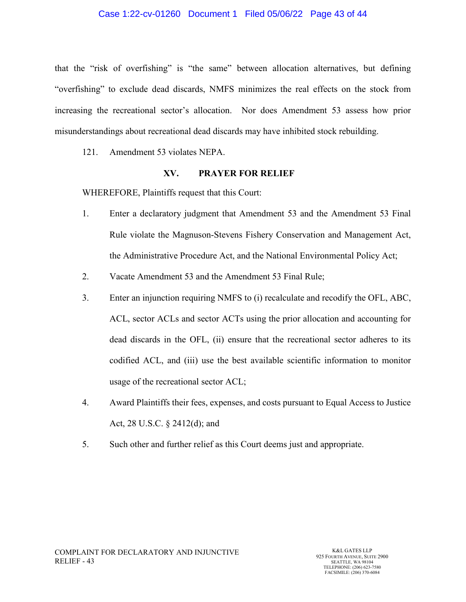that the "risk of overfishing" is "the same" between allocation alternatives, but defining "overfishing" to exclude dead discards, NMFS minimizes the real effects on the stock from increasing the recreational sector's allocation. Nor does Amendment 53 assess how prior misunderstandings about recreational dead discards may have inhibited stock rebuilding.

121. Amendment 53 violates NEPA.

### **XV. PRAYER FOR RELIEF**

WHEREFORE, Plaintiffs request that this Court:

- 1. Enter a declaratory judgment that Amendment 53 and the Amendment 53 Final Rule violate the Magnuson-Stevens Fishery Conservation and Management Act, the Administrative Procedure Act, and the National Environmental Policy Act;
- 2. Vacate Amendment 53 and the Amendment 53 Final Rule;
- 3. Enter an injunction requiring NMFS to (i) recalculate and recodify the OFL, ABC, ACL, sector ACLs and sector ACTs using the prior allocation and accounting for dead discards in the OFL, (ii) ensure that the recreational sector adheres to its codified ACL, and (iii) use the best available scientific information to monitor usage of the recreational sector ACL;
- 4. Award Plaintiffs their fees, expenses, and costs pursuant to Equal Access to Justice Act, 28 U.S.C. § 2412(d); and
- 5. Such other and further relief as this Court deems just and appropriate.